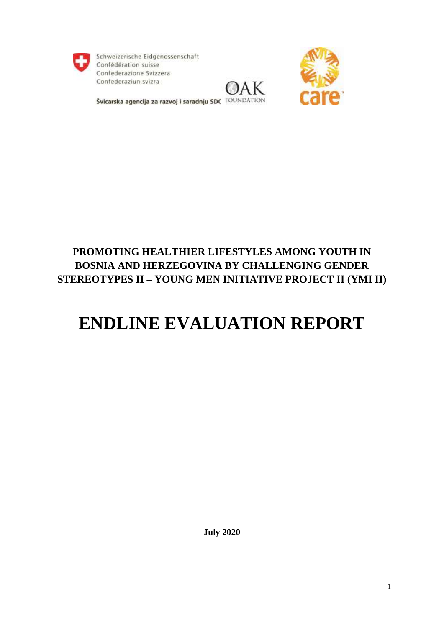

Schweizerische Eidgenossenschaft Confédération suisse Confederazione Svizzera Confederaziun svizra





Švicarska agencija za razvoj i saradnju SDC FOUNDATION

# **PROMOTING HEALTHIER LIFESTYLES AMONG YOUTH IN BOSNIA AND HERZEGOVINA BY CHALLENGING GENDER STEREOTYPES II – YOUNG MEN INITIATIVE PROJECT II (YMI II)**

# **ENDLINE EVALUATION REPORT**

**July 2020**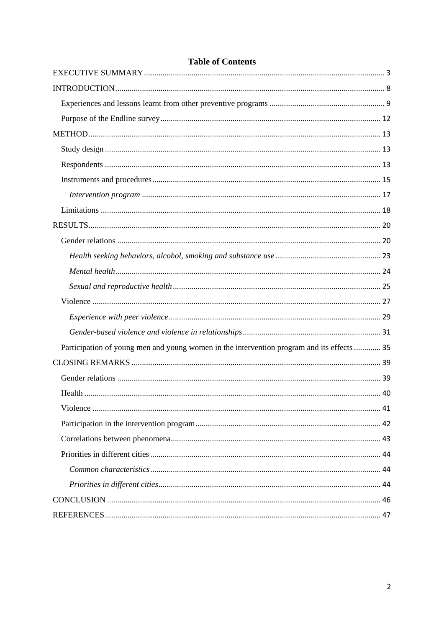| oit or coments                                                                             |  |
|--------------------------------------------------------------------------------------------|--|
|                                                                                            |  |
|                                                                                            |  |
|                                                                                            |  |
|                                                                                            |  |
|                                                                                            |  |
|                                                                                            |  |
|                                                                                            |  |
|                                                                                            |  |
|                                                                                            |  |
|                                                                                            |  |
|                                                                                            |  |
|                                                                                            |  |
|                                                                                            |  |
|                                                                                            |  |
|                                                                                            |  |
|                                                                                            |  |
|                                                                                            |  |
|                                                                                            |  |
| Participation of young men and young women in the intervention program and its effects  35 |  |
|                                                                                            |  |
|                                                                                            |  |
|                                                                                            |  |
|                                                                                            |  |
|                                                                                            |  |
|                                                                                            |  |
|                                                                                            |  |
|                                                                                            |  |
|                                                                                            |  |
|                                                                                            |  |
|                                                                                            |  |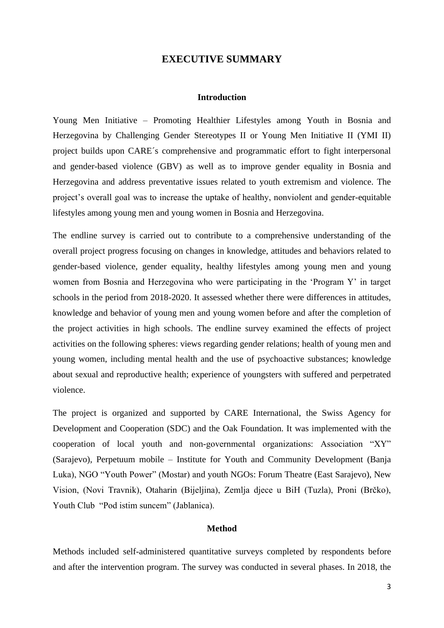# **EXECUTIVE SUMMARY**

### **Introduction**

<span id="page-2-0"></span>Young Men Initiative – Promoting Healthier Lifestyles among Youth in Bosnia and Herzegovina by Challenging Gender Stereotypes II or Young Men Initiative II (YMI II) project builds upon CARE´s comprehensive and programmatic effort to fight interpersonal and gender-based violence (GBV) as well as to improve gender equality in Bosnia and Herzegovina and address preventative issues related to youth extremism and violence. The project's overall goal was to increase the uptake of healthy, nonviolent and gender-equitable lifestyles among young men and young women in Bosnia and Herzegovina.

The endline survey is carried out to contribute to a comprehensive understanding of the overall project progress focusing on changes in knowledge, attitudes and behaviors related to gender-based violence, gender equality, healthy lifestyles among young men and young women from Bosnia and Herzegovina who were participating in the 'Program Y' in target schools in the period from 2018-2020. It assessed whether there were differences in attitudes, knowledge and behavior of young men and young women before and after the completion of the project activities in high schools. The endline survey examined the effects of project activities on the following spheres: views regarding gender relations; health of young men and young women, including mental health and the use of psychoactive substances; knowledge about sexual and reproductive health; experience of youngsters with suffered and perpetrated violence.

The project is organized and supported by CARE International, the Swiss Agency for Development and Cooperation (SDC) and the Oak Foundation. It was implemented with the cooperation of local youth and non-governmental organizations: Association "XY" (Sarajevo), Perpetuum mobile – Institute for Youth and Community Development (Banja Luka), NGO "Youth Power" (Mostar) and youth NGOs: Forum Theatre (East Sarajevo), New Vision, (Novi Travnik), Otaharin (Bijeljina), Zemlja djece u BiH (Tuzla), Proni (Brčko), Youth Club "Pod istim suncem" (Jablanica).

# **Method**

Methods included self-administered quantitative surveys completed by respondents before and after the intervention program. The survey was conducted in several phases. In 2018, the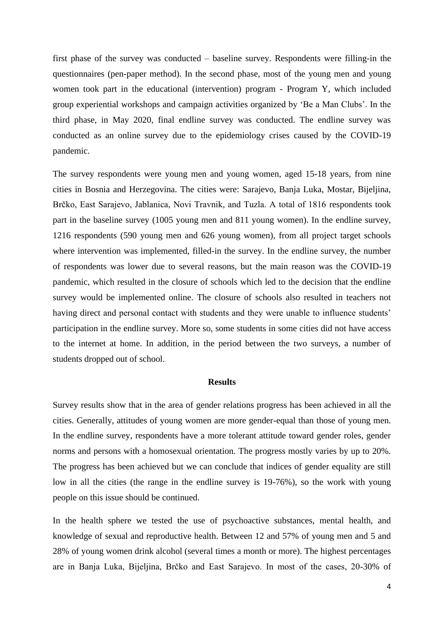first phase of the survey was conducted – baseline survey. Respondents were filling-in the questionnaires (pen-paper method). In the second phase, most of the young men and young women took part in the educational (intervention) program - Program Y, which included group experiential workshops and campaign activities organized by 'Be a Man Clubs'. In the third phase, in May 2020, final endline survey was conducted. The endline survey was conducted as an online survey due to the epidemiology crises caused by the COVID-19 pandemic.

The survey respondents were young men and young women, aged 15-18 years, from nine cities in Bosnia and Herzegovina. The cities were: Sarajevo, Banja Luka, Mostar, Bijeljina, Brčko, East Sarajevo, Jablanica, Novi Travnik, and Tuzla. A total of 1816 respondents took part in the baseline survey (1005 young men and 811 young women). In the endline survey, 1216 respondents (590 young men and 626 young women), from all project target schools where intervention was implemented, filled-in the survey. In the endline survey, the number of respondents was lower due to several reasons, but the main reason was the COVID-19 pandemic, which resulted in the closure of schools which led to the decision that the endline survey would be implemented online. The closure of schools also resulted in teachers not having direct and personal contact with students and they were unable to influence students' participation in the endline survey. More so, some students in some cities did not have access to the internet at home. In addition, in the period between the two surveys, a number of students dropped out of school.

### **Results**

Survey results show that in the area of gender relations progress has been achieved in all the cities. Generally, attitudes of young women are more gender-equal than those of young men. In the endline survey, respondents have a more tolerant attitude toward gender roles, gender norms and persons with a homosexual orientation. The progress mostly varies by up to 20%. The progress has been achieved but we can conclude that indices of gender equality are still low in all the cities (the range in the endline survey is 19-76%), so the work with young people on this issue should be continued.

In the health sphere we tested the use of psychoactive substances, mental health, and knowledge of sexual and reproductive health. Between 12 and 57% of young men and 5 and 28% of young women drink alcohol (several times a month or more). The highest percentages are in Banja Luka, Bijeljina, Brčko and East Sarajevo. In most of the cases, 20-30% of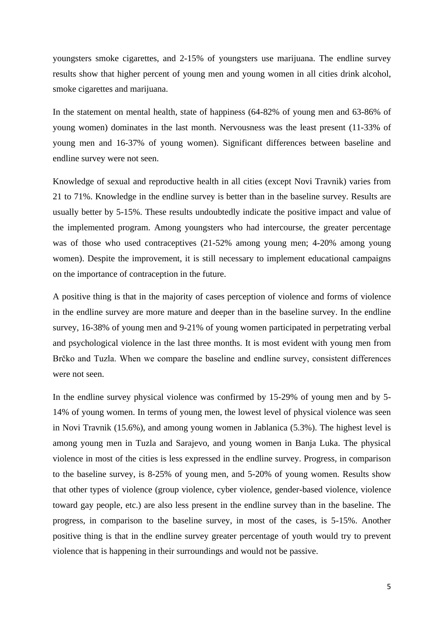youngsters smoke cigarettes, and 2-15% of youngsters use marijuana. The endline survey results show that higher percent of young men and young women in all cities drink alcohol, smoke cigarettes and marijuana.

In the statement on mental health, state of happiness (64-82% of young men and 63-86% of young women) dominates in the last month. Nervousness was the least present (11-33% of young men and 16-37% of young women). Significant differences between baseline and endline survey were not seen.

Knowledge of sexual and reproductive health in all cities (except Novi Travnik) varies from 21 to 71%. Knowledge in the endline survey is better than in the baseline survey. Results are usually better by 5-15%. These results undoubtedly indicate the positive impact and value of the implemented program. Among youngsters who had intercourse, the greater percentage was of those who used contraceptives (21-52% among young men; 4-20% among young women). Despite the improvement, it is still necessary to implement educational campaigns on the importance of contraception in the future.

A positive thing is that in the majority of cases perception of violence and forms of violence in the endline survey are more mature and deeper than in the baseline survey. In the endline survey, 16-38% of young men and 9-21% of young women participated in perpetrating verbal and psychological violence in the last three months. It is most evident with young men from Brčko and Tuzla. When we compare the baseline and endline survey, consistent differences were not seen.

In the endline survey physical violence was confirmed by 15-29% of young men and by 5- 14% of young women. In terms of young men, the lowest level of physical violence was seen in Novi Travnik (15.6%), and among young women in Jablanica (5.3%). The highest level is among young men in Tuzla and Sarajevo, and young women in Banja Luka. The physical violence in most of the cities is less expressed in the endline survey. Progress, in comparison to the baseline survey, is 8-25% of young men, and 5-20% of young women. Results show that other types of violence (group violence, cyber violence, gender-based violence, violence toward gay people, etc.) are also less present in the endline survey than in the baseline. The progress, in comparison to the baseline survey, in most of the cases, is 5-15%. Another positive thing is that in the endline survey greater percentage of youth would try to prevent violence that is happening in their surroundings and would not be passive.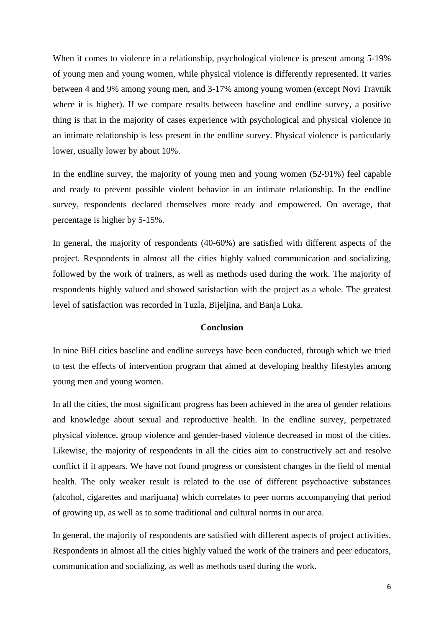When it comes to violence in a relationship, psychological violence is present among 5-19% of young men and young women, while physical violence is differently represented. It varies between 4 and 9% among young men, and 3-17% among young women (except Novi Travnik where it is higher). If we compare results between baseline and endline survey, a positive thing is that in the majority of cases experience with psychological and physical violence in an intimate relationship is less present in the endline survey. Physical violence is particularly lower, usually lower by about 10%.

In the endline survey, the majority of young men and young women (52-91%) feel capable and ready to prevent possible violent behavior in an intimate relationship. In the endline survey, respondents declared themselves more ready and empowered. On average, that percentage is higher by 5-15%.

In general, the majority of respondents (40-60%) are satisfied with different aspects of the project. Respondents in almost all the cities highly valued communication and socializing, followed by the work of trainers, as well as methods used during the work. The majority of respondents highly valued and showed satisfaction with the project as a whole. The greatest level of satisfaction was recorded in Tuzla, Bijeljina, and Banja Luka.

### **Conclusion**

In nine BiH cities baseline and endline surveys have been conducted, through which we tried to test the effects of intervention program that aimed at developing healthy lifestyles among young men and young women.

In all the cities, the most significant progress has been achieved in the area of gender relations and knowledge about sexual and reproductive health. In the endline survey, perpetrated physical violence, group violence and gender-based violence decreased in most of the cities. Likewise, the majority of respondents in all the cities aim to constructively act and resolve conflict if it appears. We have not found progress or consistent changes in the field of mental health. The only weaker result is related to the use of different psychoactive substances (alcohol, cigarettes and marijuana) which correlates to peer norms accompanying that period of growing up, as well as to some traditional and cultural norms in our area.

In general, the majority of respondents are satisfied with different aspects of project activities. Respondents in almost all the cities highly valued the work of the trainers and peer educators, communication and socializing, as well as methods used during the work.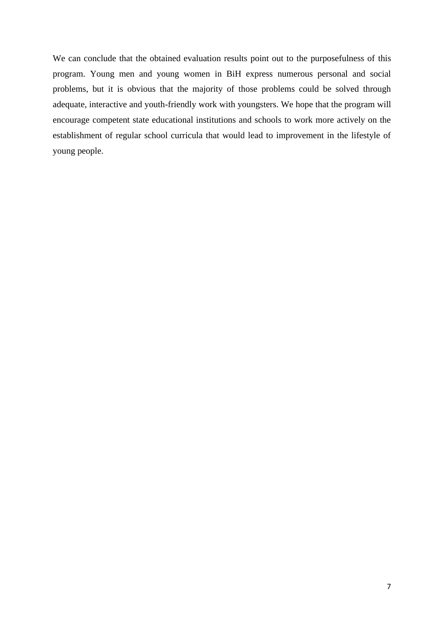We can conclude that the obtained evaluation results point out to the purposefulness of this program. Young men and young women in BiH express numerous personal and social problems, but it is obvious that the majority of those problems could be solved through adequate, interactive and youth-friendly work with youngsters. We hope that the program will encourage competent state educational institutions and schools to work more actively on the establishment of regular school curricula that would lead to improvement in the lifestyle of young people.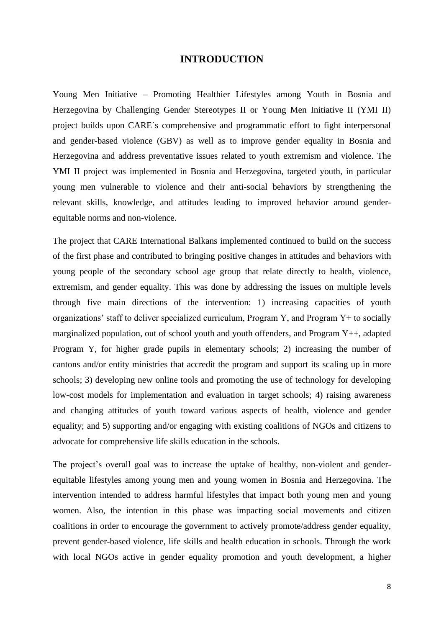# **INTRODUCTION**

<span id="page-7-0"></span>Young Men Initiative – Promoting Healthier Lifestyles among Youth in Bosnia and Herzegovina by Challenging Gender Stereotypes II or Young Men Initiative II (YMI II) project builds upon CARE´s comprehensive and programmatic effort to fight interpersonal and gender-based violence (GBV) as well as to improve gender equality in Bosnia and Herzegovina and address preventative issues related to youth extremism and violence. The YMI II project was implemented in Bosnia and Herzegovina, targeted youth, in particular young men vulnerable to violence and their anti-social behaviors by strengthening the relevant skills, knowledge, and attitudes leading to improved behavior around genderequitable norms and non-violence.

The project that CARE International Balkans implemented continued to build on the success of the first phase and contributed to bringing positive changes in attitudes and behaviors with young people of the secondary school age group that relate directly to health, violence, extremism, and gender equality. This was done by addressing the issues on multiple levels through five main directions of the intervention: 1) increasing capacities of youth organizations' staff to deliver specialized curriculum, Program  $Y$ , and Program  $Y$ + to socially marginalized population, out of school youth and youth offenders, and Program Y++, adapted Program Y, for higher grade pupils in elementary schools; 2) increasing the number of cantons and/or entity ministries that accredit the program and support its scaling up in more schools; 3) developing new online tools and promoting the use of technology for developing low-cost models for implementation and evaluation in target schools; 4) raising awareness and changing attitudes of youth toward various aspects of health, violence and gender equality; and 5) supporting and/or engaging with existing coalitions of NGOs and citizens to advocate for comprehensive life skills education in the schools.

The project's overall goal was to increase the uptake of healthy, non-violent and genderequitable lifestyles among young men and young women in Bosnia and Herzegovina. The intervention intended to address harmful lifestyles that impact both young men and young women. Also, the intention in this phase was impacting social movements and citizen coalitions in order to encourage the government to actively promote/address gender equality, prevent gender-based violence, life skills and health education in schools. Through the work with local NGOs active in gender equality promotion and youth development, a higher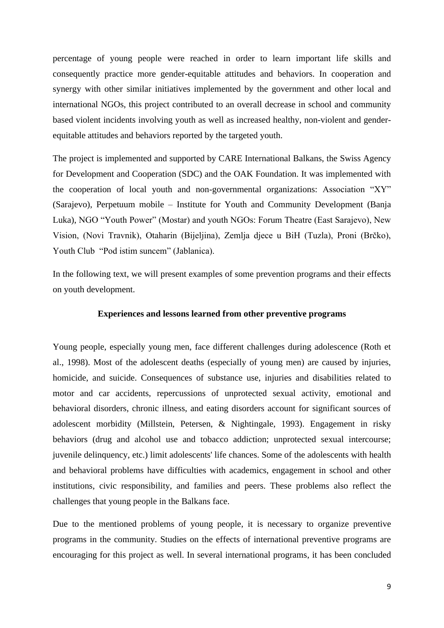percentage of young people were reached in order to learn important life skills and consequently practice more gender-equitable attitudes and behaviors. In cooperation and synergy with other similar initiatives implemented by the government and other local and international NGOs, this project contributed to an overall decrease in school and community based violent incidents involving youth as well as increased healthy, non-violent and genderequitable attitudes and behaviors reported by the targeted youth.

The project is implemented and supported by CARE International Balkans, the Swiss Agency for Development and Cooperation (SDC) and the OAK Foundation. It was implemented with the cooperation of local youth and non-governmental organizations: Association "XY" (Sarajevo), Perpetuum mobile – Institute for Youth and Community Development (Banja Luka), NGO "Youth Power" (Mostar) and youth NGOs: Forum Theatre (East Sarajevo), New Vision, (Novi Travnik), Otaharin (Bijeljina), Zemlja djece u BiH (Tuzla), Proni (Brčko), Youth Club "Pod istim suncem" (Jablanica).

In the following text, we will present examples of some prevention programs and their effects on youth development.

### **Experiences and lessons learned from other preventive programs**

<span id="page-8-0"></span>Young people, especially young men, face different challenges during adolescence (Roth et al., 1998). Most of the adolescent deaths (especially of young men) are caused by injuries, homicide, and suicide. Consequences of substance use, injuries and disabilities related to motor and car accidents, repercussions of unprotected sexual activity, emotional and behavioral disorders, chronic illness, and eating disorders account for significant sources of adolescent morbidity (Millstein, Petersen, & Nightingale, 1993). Engagement in risky behaviors (drug and alcohol use and tobacco addiction; unprotected sexual intercourse; juvenile delinquency, etc.) limit adolescents' life chances. Some of the adolescents with health and behavioral problems have difficulties with academics, engagement in school and other institutions, civic responsibility, and families and peers. These problems also reflect the challenges that young people in the Balkans face.

Due to the mentioned problems of young people, it is necessary to organize preventive programs in the community. Studies on the effects of international preventive programs are encouraging for this project as well. In several international programs, it has been concluded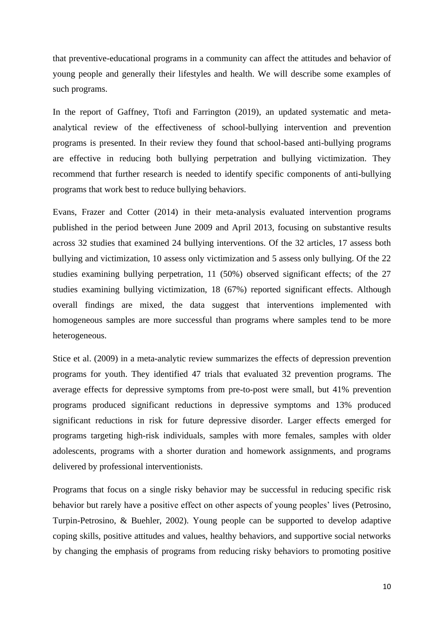that preventive-educational programs in a community can affect the attitudes and behavior of young people and generally their lifestyles and health. We will describe some examples of such programs.

In the report of Gaffney, Ttofi and Farrington (2019), an updated systematic and metaanalytical review of the effectiveness of school-bullying intervention and prevention programs is presented. In their review they found that school-based anti-bullying programs are effective in reducing both bullying perpetration and bullying victimization. They recommend that further research is needed to identify specific components of anti-bullying programs that work best to reduce bullying behaviors.

Evans, Frazer and Cotter (2014) in their meta-analysis evaluated intervention programs published in the period between June 2009 and April 2013, focusing on substantive results across 32 studies that examined 24 bullying interventions. Of the 32 articles, 17 assess both bullying and victimization, 10 assess only victimization and 5 assess only bullying. Of the 22 studies examining bullying perpetration, 11 (50%) observed significant effects; of the 27 studies examining bullying victimization, 18 (67%) reported significant effects. Although overall findings are mixed, the data suggest that interventions implemented with homogeneous samples are more successful than programs where samples tend to be more heterogeneous.

Stice et al. (2009) in a meta-analytic review summarizes the effects of depression prevention programs for youth. They identified 47 trials that evaluated 32 prevention programs. The average effects for depressive symptoms from pre-to-post were small, but 41% prevention programs produced significant reductions in depressive symptoms and 13% produced significant reductions in risk for future depressive disorder. Larger effects emerged for programs targeting high-risk individuals, samples with more females, samples with older adolescents, programs with a shorter duration and homework assignments, and programs delivered by professional interventionists.

Programs that focus on a single risky behavior may be successful in reducing specific risk behavior but rarely have a positive effect on other aspects of young peoples' lives (Petrosino, Turpin-Petrosino, & Buehler, 2002). Young people can be supported to develop adaptive coping skills, positive attitudes and values, healthy behaviors, and supportive social networks by changing the emphasis of programs from reducing risky behaviors to promoting positive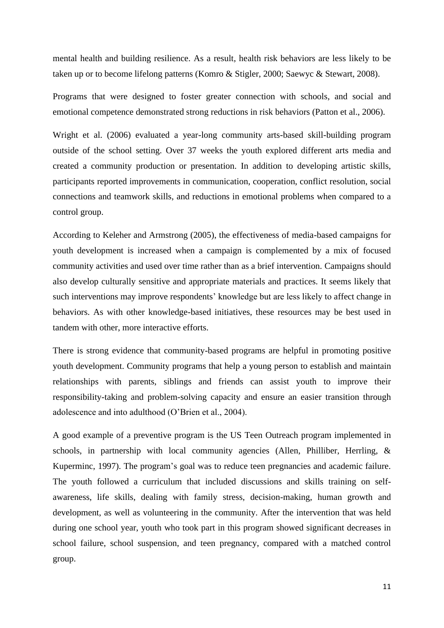mental health and building resilience. As a result, health risk behaviors are less likely to be taken up or to become lifelong patterns (Komro & Stigler, 2000; Saewyc & Stewart, 2008).

Programs that were designed to foster greater connection with schools, and social and emotional competence demonstrated strong reductions in risk behaviors (Patton et al., 2006).

Wright et al. (2006) evaluated a year-long community arts-based skill-building program outside of the school setting. Over 37 weeks the youth explored different arts media and created a community production or presentation. In addition to developing artistic skills, participants reported improvements in communication, cooperation, conflict resolution, social connections and teamwork skills, and reductions in emotional problems when compared to a control group.

According to Keleher and Armstrong (2005), the effectiveness of media-based campaigns for youth development is increased when a campaign is complemented by a mix of focused community activities and used over time rather than as a brief intervention. Campaigns should also develop culturally sensitive and appropriate materials and practices. It seems likely that such interventions may improve respondents' knowledge but are less likely to affect change in behaviors. As with other knowledge-based initiatives, these resources may be best used in tandem with other, more interactive efforts.

There is strong evidence that community-based programs are helpful in promoting positive youth development. Community programs that help a young person to establish and maintain relationships with parents, siblings and friends can assist youth to improve their responsibility-taking and problem-solving capacity and ensure an easier transition through adolescence and into adulthood (O'Brien et al., 2004).

A good example of a preventive program is the US Teen Outreach program implemented in schools, in partnership with local community agencies (Allen, Philliber, Herrling, & Kuperminc, 1997). The program's goal was to reduce teen pregnancies and academic failure. The youth followed a curriculum that included discussions and skills training on selfawareness, life skills, dealing with family stress, decision-making, human growth and development, as well as volunteering in the community. After the intervention that was held during one school year, youth who took part in this program showed significant decreases in school failure, school suspension, and teen pregnancy, compared with a matched control group.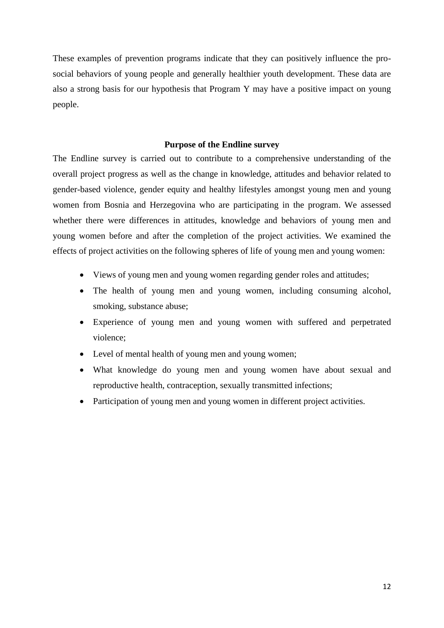These examples of prevention programs indicate that they can positively influence the prosocial behaviors of young people and generally healthier youth development. These data are also a strong basis for our hypothesis that Program Y may have a positive impact on young people.

## **Purpose of the Endline survey**

<span id="page-11-0"></span>The Endline survey is carried out to contribute to a comprehensive understanding of the overall project progress as well as the change in knowledge, attitudes and behavior related to gender-based violence, gender equity and healthy lifestyles amongst young men and young women from Bosnia and Herzegovina who are participating in the program. We assessed whether there were differences in attitudes, knowledge and behaviors of young men and young women before and after the completion of the project activities. We examined the effects of project activities on the following spheres of life of young men and young women:

- Views of young men and young women regarding gender roles and attitudes;
- The health of young men and young women, including consuming alcohol, smoking, substance abuse;
- Experience of young men and young women with suffered and perpetrated violence;
- Level of mental health of young men and young women;
- What knowledge do young men and young women have about sexual and reproductive health, contraception, sexually transmitted infections;
- Participation of young men and young women in different project activities.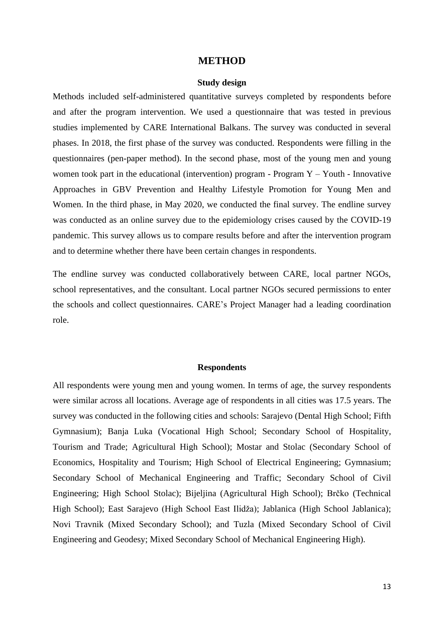### **METHOD**

#### **Study design**

<span id="page-12-1"></span><span id="page-12-0"></span>Methods included self-administered quantitative surveys completed by respondents before and after the program intervention. We used a questionnaire that was tested in previous studies implemented by CARE International Balkans. The survey was conducted in several phases. In 2018, the first phase of the survey was conducted. Respondents were filling in the questionnaires (pen-paper method). In the second phase, most of the young men and young women took part in the educational (intervention) program - Program  $Y - Y$ outh - Innovative Approaches in GBV Prevention and Healthy Lifestyle Promotion for Young Men and Women. In the third phase, in May 2020, we conducted the final survey. The endline survey was conducted as an online survey due to the epidemiology crises caused by the COVID-19 pandemic. This survey allows us to compare results before and after the intervention program and to determine whether there have been certain changes in respondents.

The endline survey was conducted collaboratively between CARE, local partner NGOs, school representatives, and the consultant. Local partner NGOs secured permissions to enter the schools and collect questionnaires. CARE's Project Manager had a leading coordination role.

#### **Respondents**

<span id="page-12-2"></span>All respondents were young men and young women. In terms of age, the survey respondents were similar across all locations. Average age of respondents in all cities was 17.5 years. The survey was conducted in the following cities and schools: Sarajevo (Dental High School; Fifth Gymnasium); Banja Luka (Vocational High School; Secondary School of Hospitality, Tourism and Trade; Agricultural High School); Mostar and Stolac (Secondary School of Economics, Hospitality and Tourism; High School of Electrical Engineering; Gymnasium; Secondary School of Mechanical Engineering and Traffic; Secondary School of Civil Engineering; High School Stolac); Bijeljina (Agricultural High School); Brčko (Technical High School); East Sarajevo (High School East Ilidža); Jablanica (High School Jablanica); Novi Travnik (Mixed Secondary School); and Tuzla (Mixed Secondary School of Civil Engineering and Geodesy; Mixed Secondary School of Mechanical Engineering High).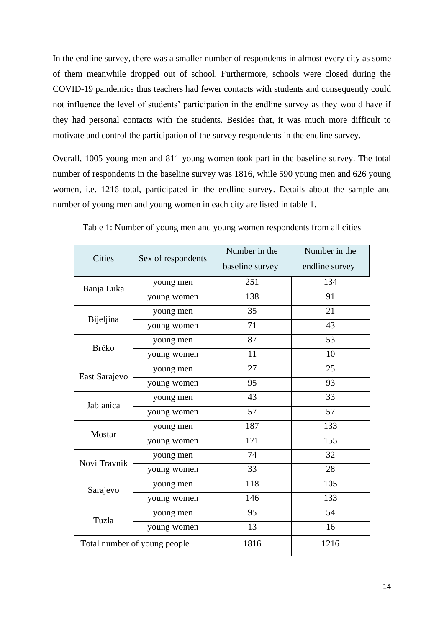In the endline survey, there was a smaller number of respondents in almost every city as some of them meanwhile dropped out of school. Furthermore, schools were closed during the COVID-19 pandemics thus teachers had fewer contacts with students and consequently could not influence the level of students' participation in the endline survey as they would have if they had personal contacts with the students. Besides that, it was much more difficult to motivate and control the participation of the survey respondents in the endline survey.

Overall, 1005 young men and 811 young women took part in the baseline survey. The total number of respondents in the baseline survey was 1816, while 590 young men and 626 young women, i.e. 1216 total, participated in the endline survey. Details about the sample and number of young men and young women in each city are listed in table 1.

| <b>Cities</b> | Sex of respondents           | Number in the<br>baseline survey | Number in the<br>endline survey |
|---------------|------------------------------|----------------------------------|---------------------------------|
| Banja Luka    | young men                    | 251                              | 134                             |
|               | young women                  | 138                              | 91                              |
| Bijeljina     | young men                    | 35                               | 21                              |
|               | young women                  | 71                               | 43                              |
| Brčko         | young men                    | 87                               | 53                              |
|               | young women                  | 11                               | 10                              |
| East Sarajevo | young men                    | 27                               | 25                              |
|               | young women                  | 95                               | 93                              |
| Jablanica     | young men                    | 43                               | 33                              |
|               | young women                  | 57                               | 57                              |
| Mostar        | young men                    | 187                              | 133                             |
|               | young women                  | 171                              | 155                             |
| Novi Travnik  | young men                    | 74                               | 32                              |
|               | young women                  | 33                               | 28                              |
| Sarajevo      | young men                    | 118                              | 105                             |
|               | young women                  | 146                              | 133                             |
| Tuzla         | young men                    | 95                               | 54                              |
|               | young women                  | 13                               | 16                              |
|               | Total number of young people | 1816                             | 1216                            |

Table 1: Number of young men and young women respondents from all cities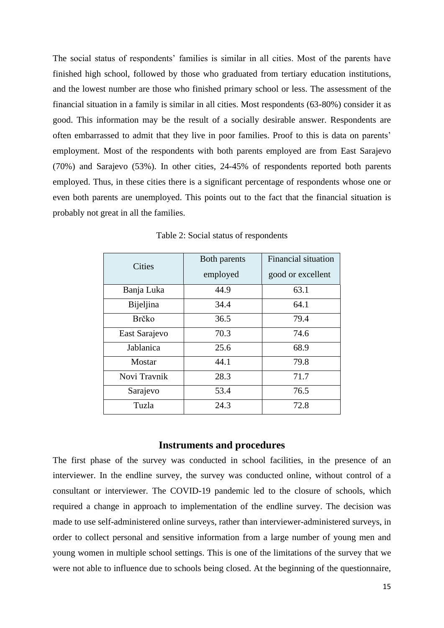The social status of respondents' families is similar in all cities. Most of the parents have finished high school, followed by those who graduated from tertiary education institutions, and the lowest number are those who finished primary school or less. The assessment of the financial situation in a family is similar in all cities. Most respondents (63-80%) consider it as good. This information may be the result of a socially desirable answer. Respondents are often embarrassed to admit that they live in poor families. Proof to this is data on parents' employment. Most of the respondents with both parents employed are from East Sarajevo (70%) and Sarajevo (53%). In other cities, 24-45% of respondents reported both parents employed. Thus, in these cities there is a significant percentage of respondents whose one or even both parents are unemployed. This points out to the fact that the financial situation is probably not great in all the families.

| <b>Cities</b> | Both parents | Financial situation |
|---------------|--------------|---------------------|
|               | employed     | good or excellent   |
| Banja Luka    | 44.9         | 63.1                |
| Bijeljina     | 34.4         | 64.1                |
| Brčko         | 36.5         | 79.4                |
| East Sarajevo | 70.3         | 74.6                |
| Jablanica     | 25.6         | 68.9                |
| Mostar        | 44.1         | 79.8                |
| Novi Travnik  | 28.3         | 71.7                |
| Sarajevo      | 53.4         | 76.5                |
| Tuzla         | 24.3         | 72.8                |

Table 2: Social status of respondents

# **Instruments and procedures**

<span id="page-14-0"></span>The first phase of the survey was conducted in school facilities, in the presence of an interviewer. In the endline survey, the survey was conducted online, without control of a consultant or interviewer. The COVID-19 pandemic led to the closure of schools, which required a change in approach to implementation of the endline survey. The decision was made to use self-administered online surveys, rather than interviewer-administered surveys, in order to collect personal and sensitive information from a large number of young men and young women in multiple school settings. This is one of the limitations of the survey that we were not able to influence due to schools being closed. At the beginning of the questionnaire,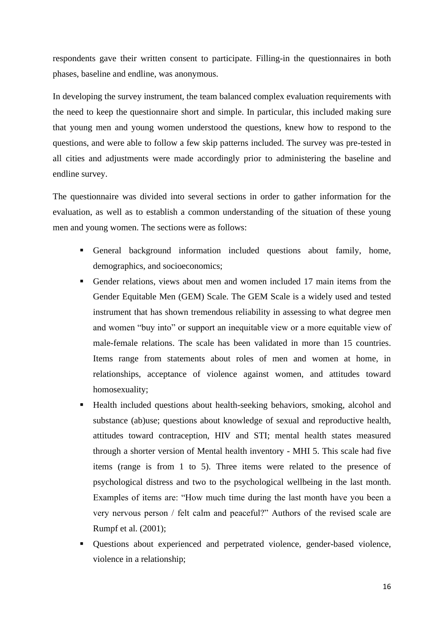respondents gave their written consent to participate. Filling-in the questionnaires in both phases, baseline and endline, was anonymous.

In developing the survey instrument, the team balanced complex evaluation requirements with the need to keep the questionnaire short and simple. In particular, this included making sure that young men and young women understood the questions, knew how to respond to the questions, and were able to follow a few skip patterns included. The survey was pre-tested in all cities and adjustments were made accordingly prior to administering the baseline and endline survey.

The questionnaire was divided into several sections in order to gather information for the evaluation, as well as to establish a common understanding of the situation of these young men and young women. The sections were as follows:

- General background information included questions about family, home, demographics, and socioeconomics;
- Gender relations, views about men and women included 17 main items from the Gender Equitable Men (GEM) Scale. The GEM Scale is a widely used and tested instrument that has shown tremendous reliability in assessing to what degree men and women "buy into" or support an inequitable view or a more equitable view of male-female relations. The scale has been validated in more than 15 countries. Items range from statements about roles of men and women at home, in relationships, acceptance of violence against women, and attitudes toward homosexuality;
- Health included questions about health-seeking behaviors, smoking, alcohol and substance (ab)use; questions about knowledge of sexual and reproductive health, attitudes toward contraception, HIV and STI; mental health states measured through a shorter version of Mental health inventory - MHI 5. This scale had five items (range is from 1 to 5). Three items were related to the presence of psychological distress and two to the psychological wellbeing in the last month. Examples of items are: "How much time during the last month have you been a very nervous person / felt calm and peaceful?" Authors of the revised scale are Rumpf et al. (2001);
- Questions about experienced and perpetrated violence, gender-based violence, violence in a relationship;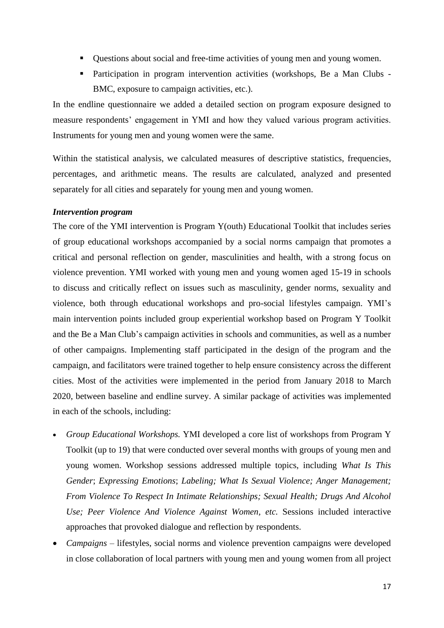- Questions about social and free-time activities of young men and young women.
- Participation in program intervention activities (workshops, Be a Man Clubs -BMC, exposure to campaign activities, etc.).

In the endline questionnaire we added a detailed section on program exposure designed to measure respondents' engagement in YMI and how they valued various program activities. Instruments for young men and young women were the same.

Within the statistical analysis, we calculated measures of descriptive statistics, frequencies, percentages, and arithmetic means. The results are calculated, analyzed and presented separately for all cities and separately for young men and young women.

# <span id="page-16-0"></span>*Intervention program*

The core of the YMI intervention is Program Y(outh) Educational Toolkit that includes series of group educational workshops accompanied by a social norms campaign that promotes a critical and personal reflection on gender, masculinities and health, with a strong focus on violence prevention. YMI worked with young men and young women aged 15-19 in schools to discuss and critically reflect on issues such as masculinity, gender norms, sexuality and violence, both through educational workshops and pro-social lifestyles campaign. YMI's main intervention points included group experiential workshop based on Program Y Toolkit and the Be a Man Club's campaign activities in schools and communities, as well as a number of other campaigns. Implementing staff participated in the design of the program and the campaign, and facilitators were trained together to help ensure consistency across the different cities. Most of the activities were implemented in the period from January 2018 to March 2020, between baseline and endline survey. A similar package of activities was implemented in each of the schools, including:

- *Group Educational Workshops.* YMI developed a core list of workshops from Program Y Toolkit (up to 19) that were conducted over several months with groups of young men and young women. Workshop sessions addressed multiple topics, including *What Is This Gender*; *Expressing Emotions*; *Labeling; What Is Sexual Violence; Anger Management; From Violence To Respect In Intimate Relationships; Sexual Health; Drugs And Alcohol Use; Peer Violence And Violence Against Women, etc.* Sessions included interactive approaches that provoked dialogue and reflection by respondents.
- *Campaigns –* lifestyles, social norms and violence prevention campaigns were developed in close collaboration of local partners with young men and young women from all project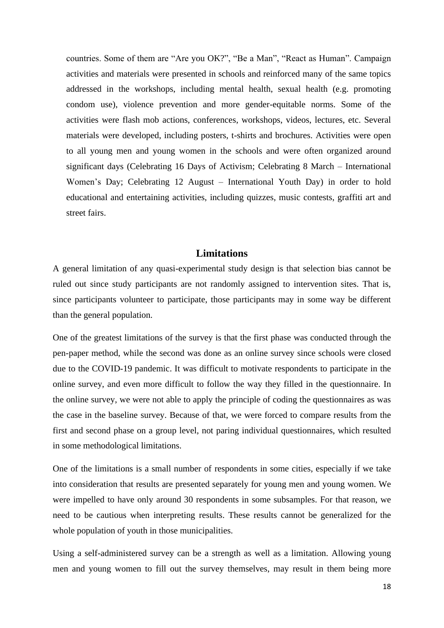countries. Some of them are "Are you OK?", "Be a Man", "React as Human". Campaign activities and materials were presented in schools and reinforced many of the same topics addressed in the workshops, including mental health, sexual health (e.g. promoting condom use), violence prevention and more gender-equitable norms. Some of the activities were flash mob actions, conferences, workshops, videos, lectures, etc. Several materials were developed, including posters, t-shirts and brochures. Activities were open to all young men and young women in the schools and were often organized around significant days (Celebrating 16 Days of Activism; Celebrating 8 March – International Women's Day; Celebrating 12 August – International Youth Day) in order to hold educational and entertaining activities, including quizzes, music contests, graffiti art and street fairs.

# **Limitations**

<span id="page-17-0"></span>A general limitation of any quasi-experimental study design is that selection bias cannot be ruled out since study participants are not randomly assigned to intervention sites. That is, since participants volunteer to participate, those participants may in some way be different than the general population.

One of the greatest limitations of the survey is that the first phase was conducted through the pen-paper method, while the second was done as an online survey since schools were closed due to the COVID-19 pandemic. It was difficult to motivate respondents to participate in the online survey, and even more difficult to follow the way they filled in the questionnaire. In the online survey, we were not able to apply the principle of coding the questionnaires as was the case in the baseline survey. Because of that, we were forced to compare results from the first and second phase on a group level, not paring individual questionnaires, which resulted in some methodological limitations.

One of the limitations is a small number of respondents in some cities, especially if we take into consideration that results are presented separately for young men and young women. We were impelled to have only around 30 respondents in some subsamples. For that reason, we need to be cautious when interpreting results. These results cannot be generalized for the whole population of youth in those municipalities.

Using a self-administered survey can be a strength as well as a limitation. Allowing young men and young women to fill out the survey themselves, may result in them being more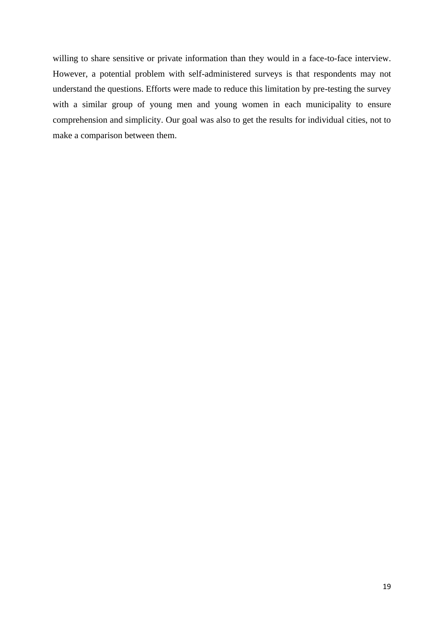willing to share sensitive or private information than they would in a face-to-face interview. However, a potential problem with self-administered surveys is that respondents may not understand the questions. Efforts were made to reduce this limitation by pre-testing the survey with a similar group of young men and young women in each municipality to ensure comprehension and simplicity. Our goal was also to get the results for individual cities, not to make a comparison between them.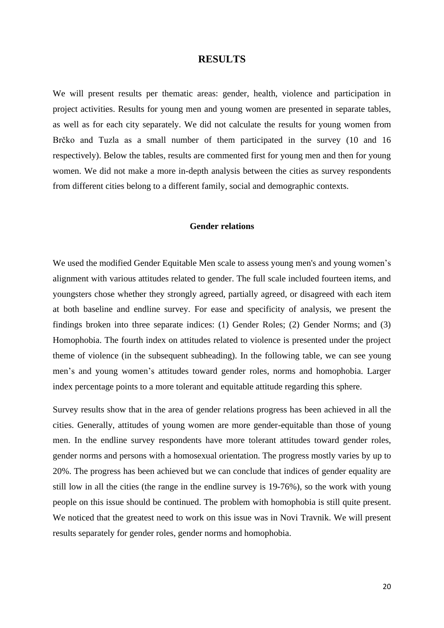# **RESULTS**

<span id="page-19-0"></span>We will present results per thematic areas: gender, health, violence and participation in project activities. Results for young men and young women are presented in separate tables, as well as for each city separately. We did not calculate the results for young women from Brčko and Tuzla as a small number of them participated in the survey (10 and 16 respectively). Below the tables, results are commented first for young men and then for young women. We did not make a more in-depth analysis between the cities as survey respondents from different cities belong to a different family, social and demographic contexts.

## **Gender relations**

<span id="page-19-1"></span>We used the modified Gender Equitable Men scale to assess young men's and young women's alignment with various attitudes related to gender. The full scale included fourteen items, and youngsters chose whether they strongly agreed, partially agreed, or disagreed with each item at both baseline and endline survey. For ease and specificity of analysis, we present the findings broken into three separate indices: (1) Gender Roles; (2) Gender Norms; and (3) Homophobia. The fourth index on attitudes related to violence is presented under the project theme of violence (in the subsequent subheading). In the following table, we can see young men's and young women's attitudes toward gender roles, norms and homophobia. Larger index percentage points to a more tolerant and equitable attitude regarding this sphere.

Survey results show that in the area of gender relations progress has been achieved in all the cities. Generally, attitudes of young women are more gender-equitable than those of young men. In the endline survey respondents have more tolerant attitudes toward gender roles, gender norms and persons with a homosexual orientation. The progress mostly varies by up to 20%. The progress has been achieved but we can conclude that indices of gender equality are still low in all the cities (the range in the endline survey is 19-76%), so the work with young people on this issue should be continued. The problem with homophobia is still quite present. We noticed that the greatest need to work on this issue was in Novi Travnik. We will present results separately for gender roles, gender norms and homophobia.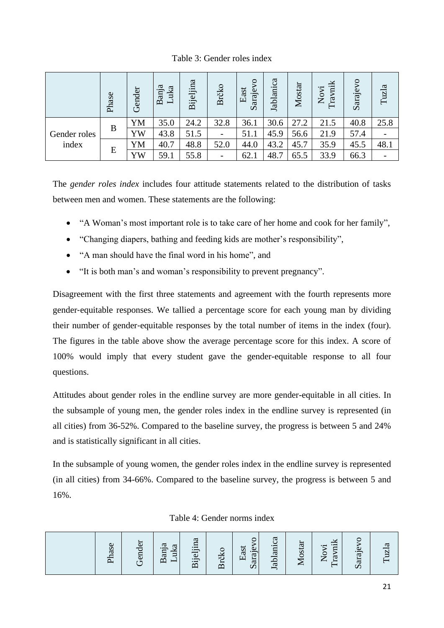Table 3: Gender roles index

|              | Phase | Gender | Banja<br>uka<br>$\overline{\phantom{0}}$ | Bijeljina | Brčko                    | Sarajevo<br>East | Jablanica | Mostar | Travnik<br>Novi | Sarajevo | Tuzla |
|--------------|-------|--------|------------------------------------------|-----------|--------------------------|------------------|-----------|--------|-----------------|----------|-------|
|              |       | YM     | 35.0                                     | 24.2      | 32.8                     | 36.1             | 30.6      | 27.2   | 21.5            | 40.8     | 25.8  |
| Gender roles | B     | YW     | 43.8                                     | 51.5      | $\overline{\phantom{0}}$ | 51.1             | 45.9      | 56.6   | 21.9            | 57.4     |       |
| index        |       | YM     | 40.7                                     | 48.8      | 52.0                     | 44.0             | 43.2      | 45.7   | 35.9            | 45.5     | 48.1  |
|              | E     | YW     | 59.1                                     | 55.8      | $\overline{\phantom{a}}$ | 62.1             | 48.7      | 65.5   | 33.9            | 66.3     |       |

The *gender roles index* includes four attitude statements related to the distribution of tasks between men and women. These statements are the following:

- "A Woman's most important role is to take care of her home and cook for her family",
- "Changing diapers, bathing and feeding kids are mother's responsibility",
- "A man should have the final word in his home", and
- "It is both man's and woman's responsibility to prevent pregnancy".

Disagreement with the first three statements and agreement with the fourth represents more gender‐equitable responses. We tallied a percentage score for each young man by dividing their number of gender‐equitable responses by the total number of items in the index (four). The figures in the table above show the average percentage score for this index. A score of 100% would imply that every student gave the gender-equitable response to all four questions.

Attitudes about gender roles in the endline survey are more gender-equitable in all cities. In the subsample of young men, the gender roles index in the endline survey is represented (in all cities) from 36-52%. Compared to the baseline survey, the progress is between 5 and 24% and is statistically significant in all cities.

In the subsample of young women, the gender roles index in the endline survey is represented (in all cities) from 34-66%. Compared to the baseline survey, the progress is between 5 and 16%.

Table 4: Gender norms index

|  | hase | ender<br>$\mathbf{r}$ $\mathbf{r}$ | Banja<br>uka | Bijeljina | Brčk | Sarajevo<br>East | Jablanica | <b>Tostar</b><br>∼ | yii<br>غ.<br>Ş<br>ra<br>$\overline{\phantom{0}}$ | Saraje |  |
|--|------|------------------------------------|--------------|-----------|------|------------------|-----------|--------------------|--------------------------------------------------|--------|--|
|--|------|------------------------------------|--------------|-----------|------|------------------|-----------|--------------------|--------------------------------------------------|--------|--|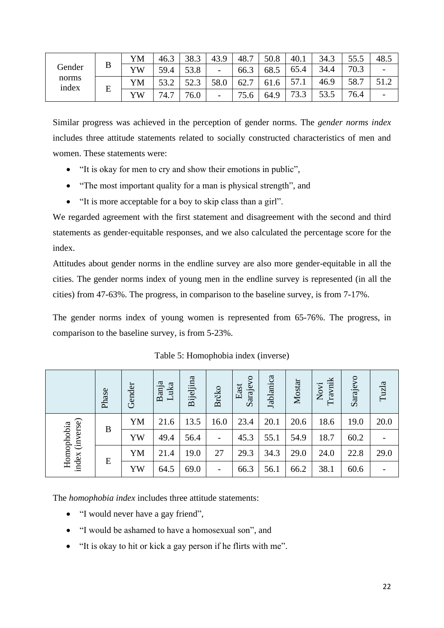|                |   | YM | 46.3 | 38.3        | 43.9                     | 48.7                             | 50.8 | 40.1          | 34.3         | JJ.J | 48.5                     |
|----------------|---|----|------|-------------|--------------------------|----------------------------------|------|---------------|--------------|------|--------------------------|
| Gender         | B | YW | 59.4 | 53.8        | $\overline{\phantom{a}}$ | 66.3                             | 68.5 | 65.4          | 34.4         | 70.3 |                          |
| norms<br>index | E | YM | 50 O | 523<br>ن. ک | 58.0                     | 62.7<br>$\overline{\phantom{0}}$ | 61.6 | 57<br>J I . I | 46.9         | 58.7 | 51 <sub>2</sub><br>J 1.Z |
|                |   | YW | 74.7 | 76.0        | $\overline{\phantom{0}}$ | 75.6                             | 64.9 | 73.3          | 53.5<br>JJ.J | 76.4 | $\overline{\phantom{0}}$ |

Similar progress was achieved in the perception of gender norms. The *gender norms index* includes three attitude statements related to socially constructed characteristics of men and women. These statements were:

- "It is okay for men to cry and show their emotions in public",
- "The most important quality for a man is physical strength", and
- "It is more acceptable for a boy to skip class than a girl".

We regarded agreement with the first statement and disagreement with the second and third statements as gender‐equitable responses, and we also calculated the percentage score for the index.

Attitudes about gender norms in the endline survey are also more gender-equitable in all the cities. The gender norms index of young men in the endline survey is represented (in all the cities) from 47-63%. The progress, in comparison to the baseline survey, is from 7-17%.

The gender norms index of young women is represented from 65-76%. The progress, in comparison to the baseline survey, is from 5-23%.

|                               | Phase | Gender | Banja<br>Luka | Bijeljina | Brčko                    | Sarajevo<br>East | Jablanica | Mostar | Travnik<br>Novi | Sarajevo | Tuzla |
|-------------------------------|-------|--------|---------------|-----------|--------------------------|------------------|-----------|--------|-----------------|----------|-------|
|                               | B     | YM     | 21.6          | 13.5      | 16.0                     | 23.4             | 20.1      | 20.6   | 18.6            | 19.0     | 20.0  |
|                               |       | YW     | 49.4          | 56.4      |                          | 45.3             | 55.1      | 54.9   | 18.7            | 60.2     |       |
| index (inverse)<br>Homophobia | E     | YM     | 21.4          | 19.0      | 27                       | 29.3             | 34.3      | 29.0   | 24.0            | 22.8     | 29.0  |
|                               |       | YW     | 64.5          | 69.0      | $\overline{\phantom{a}}$ | 66.3             | 56.1      | 66.2   | 38.1            | 60.6     |       |

Table 5: Homophobia index (inverse)

The *homophobia index* includes three attitude statements:

- "I would never have a gay friend",
- "I would be ashamed to have a homosexual son", and
- "It is okay to hit or kick a gay person if he flirts with me".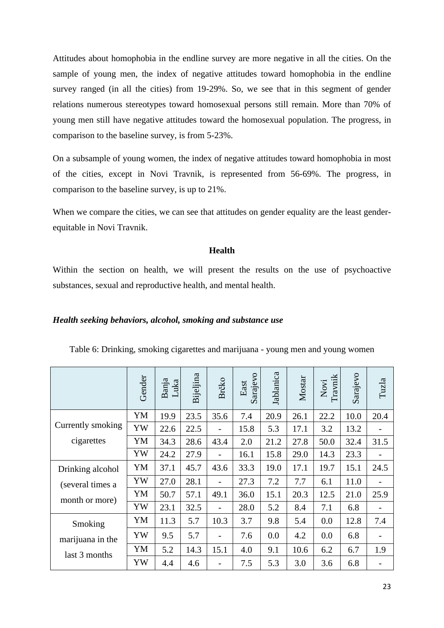Attitudes about homophobia in the endline survey are more negative in all the cities. On the sample of young men, the index of negative attitudes toward homophobia in the endline survey ranged (in all the cities) from 19-29%. So, we see that in this segment of gender relations numerous stereotypes toward homosexual persons still remain. More than 70% of young men still have negative attitudes toward the homosexual population. The progress, in comparison to the baseline survey, is from 5-23%.

On a subsample of young women, the index of negative attitudes toward homophobia in most of the cities, except in Novi Travnik, is represented from 56-69%. The progress, in comparison to the baseline survey, is up to 21%.

When we compare the cities, we can see that attitudes on gender equality are the least genderequitable in Novi Travnik.

# **Health**

Within the section on health, we will present the results on the use of psychoactive substances, sexual and reproductive health, and mental health.

### <span id="page-22-0"></span>*Health seeking behaviors, alcohol, smoking and substance use*

|                   | Gender | Banja<br>Luka | Bijeljina | Brčko                    | Sarajevo<br>East | Jablanica | Mostar | Novi<br>Travnik | Sarajevo | Tuzla |
|-------------------|--------|---------------|-----------|--------------------------|------------------|-----------|--------|-----------------|----------|-------|
|                   | YM     | 19.9          | 23.5      | 35.6                     | 7.4              | 20.9      | 26.1   | 22.2            | 10.0     | 20.4  |
| Currently smoking | YW     | 22.6          | 22.5      |                          | 15.8             | 5.3       | 17.1   | 3.2             | 13.2     |       |
| cigarettes        | YM     | 34.3          | 28.6      | 43.4                     | 2.0              | 21.2      | 27.8   | 50.0            | 32.4     | 31.5  |
|                   | YW     | 24.2          | 27.9      |                          | 16.1             | 15.8      | 29.0   | 14.3            | 23.3     |       |
| Drinking alcohol  | YM     | 37.1          | 45.7      | 43.6                     | 33.3             | 19.0      | 17.1   | 19.7            | 15.1     | 24.5  |
| (several times a  | YW     | 27.0          | 28.1      | $\overline{a}$           | 27.3             | 7.2       | 7.7    | 6.1             | 11.0     |       |
| month or more)    | YM     | 50.7          | 57.1      | 49.1                     | 36.0             | 15.1      | 20.3   | 12.5            | 21.0     | 25.9  |
|                   | YW     | 23.1          | 32.5      |                          | 28.0             | 5.2       | 8.4    | 7.1             | 6.8      |       |
| Smoking           | YM     | 11.3          | 5.7       | 10.3                     | 3.7              | 9.8       | 5.4    | 0.0             | 12.8     | 7.4   |
| marijuana in the  | YW     | 9.5           | 5.7       | $\overline{\phantom{0}}$ | 7.6              | 0.0       | 4.2    | 0.0             | 6.8      |       |
| last 3 months     | YM     | 5.2           | 14.3      | 15.1                     | 4.0              | 9.1       | 10.6   | 6.2             | 6.7      | 1.9   |
|                   | YW     | 4.4           | 4.6       | -                        | 7.5              | 5.3       | 3.0    | 3.6             | 6.8      |       |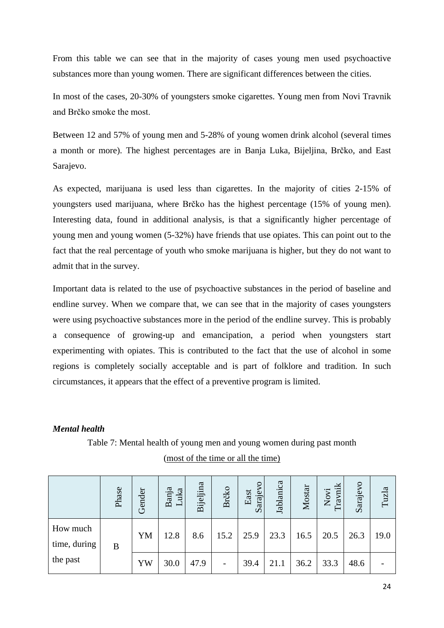From this table we can see that in the majority of cases young men used psychoactive substances more than young women. There are significant differences between the cities.

In most of the cases, 20-30% of youngsters smoke cigarettes. Young men from Novi Travnik and Brčko smoke the most.

Between 12 and 57% of young men and 5-28% of young women drink alcohol (several times a month or more). The highest percentages are in Banja Luka, Bijeljina, Brčko, and East Sarajevo.

As expected, marijuana is used less than cigarettes. In the majority of cities 2-15% of youngsters used marijuana, where Brčko has the highest percentage (15% of young men). Interesting data, found in additional analysis, is that a significantly higher percentage of young men and young women (5-32%) have friends that use opiates. This can point out to the fact that the real percentage of youth who smoke marijuana is higher, but they do not want to admit that in the survey.

Important data is related to the use of psychoactive substances in the period of baseline and endline survey. When we compare that, we can see that in the majority of cases youngsters were using psychoactive substances more in the period of the endline survey. This is probably a consequence of growing-up and emancipation, a period when youngsters start experimenting with opiates. This is contributed to the fact that the use of alcohol in some regions is completely socially acceptable and is part of folklore and tradition. In such circumstances, it appears that the effect of a preventive program is limited.

# <span id="page-23-0"></span>*Mental health*

# Table 7: Mental health of young men and young women during past month (most of the time or all the time)

|                          | Phase | Gender | Banja<br>Luka | Bijeljina | Brčko | arajevo<br>East | Jablanica | Mostar | Travnik<br>Novi | Sarajevo | Tuzla |
|--------------------------|-------|--------|---------------|-----------|-------|-----------------|-----------|--------|-----------------|----------|-------|
| How much<br>time, during | B     | YM     | 12.8          | 8.6       | 15.2  | 25.9            | 23.3      | 16.5   | 20.5            | 26.3     | 19.0  |
| the past                 |       | YW     | 30.0          | 47.9      |       | 39.4            | 21.1      | 36.2   | 33.3            | 48.6     |       |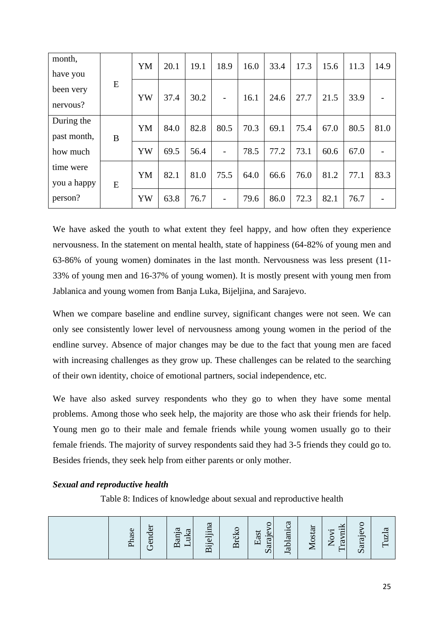| month,      |   | YM | 20.1 | 19.1 | 18.9 | 16.0 | 33.4 | 17.3 | 15.6 | 11.3 | 14.9 |
|-------------|---|----|------|------|------|------|------|------|------|------|------|
| have you    |   |    |      |      |      |      |      |      |      |      |      |
| been very   | E | YW | 37.4 | 30.2 |      | 16.1 | 24.6 | 27.7 | 21.5 | 33.9 |      |
| nervous?    |   |    |      |      |      |      |      |      |      |      |      |
| During the  |   | YM | 84.0 | 82.8 | 80.5 | 70.3 | 69.1 | 75.4 | 67.0 | 80.5 | 81.0 |
| past month, | B |    |      |      |      |      |      |      |      |      |      |
| how much    |   | YW | 69.5 | 56.4 |      | 78.5 | 77.2 | 73.1 | 60.6 | 67.0 |      |
| time were   |   |    |      |      |      |      |      |      |      |      |      |
| you a happy | E | YM | 82.1 | 81.0 | 75.5 | 64.0 | 66.6 | 76.0 | 81.2 | 77.1 | 83.3 |
| person?     |   | YW | 63.8 | 76.7 |      | 79.6 | 86.0 | 72.3 | 82.1 | 76.7 |      |

We have asked the youth to what extent they feel happy, and how often they experience nervousness. In the statement on mental health, state of happiness (64-82% of young men and 63-86% of young women) dominates in the last month. Nervousness was less present (11- 33% of young men and 16-37% of young women). It is mostly present with young men from Jablanica and young women from Banja Luka, Bijeljina, and Sarajevo.

When we compare baseline and endline survey, significant changes were not seen. We can only see consistently lower level of nervousness among young women in the period of the endline survey. Absence of major changes may be due to the fact that young men are faced with increasing challenges as they grow up. These challenges can be related to the searching of their own identity, choice of emotional partners, social independence, etc.

We have also asked survey respondents who they go to when they have some mental problems. Among those who seek help, the majority are those who ask their friends for help. Young men go to their male and female friends while young women usually go to their female friends. The majority of survey respondents said they had 3-5 friends they could go to. Besides friends, they seek help from either parents or only mother.

# <span id="page-24-0"></span>*Sexual and reproductive health*

Table 8: Indices of knowledge about sexual and reproductive health

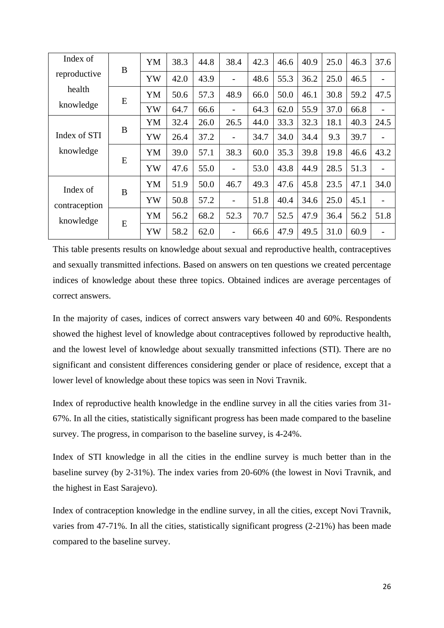| Index of      | B | YM | 38.3 | 44.8 | 38.4                     | 42.3 | 46.6 | 40.9 | 25.0 | 46.3 | 37.6 |
|---------------|---|----|------|------|--------------------------|------|------|------|------|------|------|
| reproductive  |   | YW | 42.0 | 43.9 |                          | 48.6 | 55.3 | 36.2 | 25.0 | 46.5 |      |
| health        | E | YM | 50.6 | 57.3 | 48.9                     | 66.0 | 50.0 | 46.1 | 30.8 | 59.2 | 47.5 |
| knowledge     |   | YW | 64.7 | 66.6 |                          | 64.3 | 62.0 | 55.9 | 37.0 | 66.8 |      |
|               |   | YM | 32.4 | 26.0 | 26.5                     | 44.0 | 33.3 | 32.3 | 18.1 | 40.3 | 24.5 |
| Index of STI  | B | YW | 26.4 | 37.2 | -                        | 34.7 | 34.0 | 34.4 | 9.3  | 39.7 |      |
| knowledge     | E | YM | 39.0 | 57.1 | 38.3                     | 60.0 | 35.3 | 39.8 | 19.8 | 46.6 | 43.2 |
|               |   | YW | 47.6 | 55.0 | $\overline{\phantom{0}}$ | 53.0 | 43.8 | 44.9 | 28.5 | 51.3 |      |
| Index of      | B | YM | 51.9 | 50.0 | 46.7                     | 49.3 | 47.6 | 45.8 | 23.5 | 47.1 | 34.0 |
| contraception |   | YW | 50.8 | 57.2 | $\overline{a}$           | 51.8 | 40.4 | 34.6 | 25.0 | 45.1 |      |
| knowledge     | E | YM | 56.2 | 68.2 | 52.3                     | 70.7 | 52.5 | 47.9 | 36.4 | 56.2 | 51.8 |
|               |   | YW | 58.2 | 62.0 | $\overline{a}$           | 66.6 | 47.9 | 49.5 | 31.0 | 60.9 |      |

This table presents results on knowledge about sexual and reproductive health, contraceptives and sexually transmitted infections. Based on answers on ten questions we created percentage indices of knowledge about these three topics. Obtained indices are average percentages of correct answers.

In the majority of cases, indices of correct answers vary between 40 and 60%. Respondents showed the highest level of knowledge about contraceptives followed by reproductive health, and the lowest level of knowledge about sexually transmitted infections (STI). There are no significant and consistent differences considering gender or place of residence, except that a lower level of knowledge about these topics was seen in Novi Travnik.

Index of reproductive health knowledge in the endline survey in all the cities varies from 31- 67%. In all the cities, statistically significant progress has been made compared to the baseline survey. The progress, in comparison to the baseline survey, is 4-24%.

Index of STI knowledge in all the cities in the endline survey is much better than in the baseline survey (by 2-31%). The index varies from 20-60% (the lowest in Novi Travnik, and the highest in East Sarajevo).

Index of contraception knowledge in the endline survey, in all the cities, except Novi Travnik, varies from 47-71%. In all the cities, statistically significant progress (2-21%) has been made compared to the baseline survey.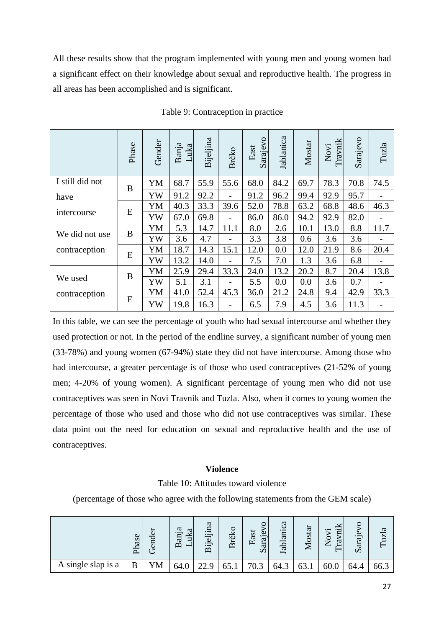All these results show that the program implemented with young men and young women had a significant effect on their knowledge about sexual and reproductive health. The progress in all areas has been accomplished and is significant.

|                 | Phase | Gender | Banja<br>Luka | Bijeljina | Brčko                    | Sarajevo<br>East | Jablanica | Mostar | Travnik<br>Novi | Sarajevo | Tuzla |
|-----------------|-------|--------|---------------|-----------|--------------------------|------------------|-----------|--------|-----------------|----------|-------|
| I still did not | B     | YM     | 68.7          | 55.9      | 55.6                     | 68.0             | 84.2      | 69.7   | 78.3            | 70.8     | 74.5  |
| have            |       | YW     | 91.2          | 92.2      | $\overline{\phantom{0}}$ | 91.2             | 96.2      | 99.4   | 92.9            | 95.7     |       |
|                 | E     | YM     | 40.3          | 33.3      | 39.6                     | 52.0             | 78.8      | 63.2   | 68.8            | 48.6     | 46.3  |
| intercourse     |       | YW     | 67.0          | 69.8      | $\overline{\phantom{0}}$ | 86.0             | 86.0      | 94.2   | 92.9            | 82.0     |       |
| We did not use  | B     | YM     | 5.3           | 14.7      | 11.1                     | 8.0              | 2.6       | 10.1   | 13.0            | 8.8      | 11.7  |
|                 |       | YW     | 3.6           | 4.7       | -                        | 3.3              | 3.8       | 0.6    | 3.6             | 3.6      |       |
| contraception   | E     | YM     | 18.7          | 14.3      | 15.1                     | 12.0             | 0.0       | 12.0   | 21.9            | 8.6      | 20.4  |
|                 |       | YW     | 13.2          | 14.0      | $\overline{\phantom{0}}$ | 7.5              | 7.0       | 1.3    | 3.6             | 6.8      |       |
|                 | B     | YM     | 25.9          | 29.4      | 33.3                     | 24.0             | 13.2      | 20.2   | 8.7             | 20.4     | 13.8  |
| We used         |       | YW     | 5.1           | 3.1       | $\overline{\phantom{0}}$ | 5.5              | 0.0       | 0.0    | 3.6             | 0.7      |       |
| contraception   |       | YM     | 41.0          | 52.4      | 45.3                     | 36.0             | 21.2      | 24.8   | 9.4             | 42.9     | 33.3  |
|                 | E     | YW     | 19.8          | 16.3      | -                        | 6.5              | 7.9       | 4.5    | 3.6             | 11.3     |       |

Table 9: Contraception in practice

In this table, we can see the percentage of youth who had sexual intercourse and whether they used protection or not. In the period of the endline survey, a significant number of young men (33-78%) and young women (67-94%) state they did not have intercourse. Among those who had intercourse, a greater percentage is of those who used contraceptives (21-52% of young men; 4-20% of young women). A significant percentage of young men who did not use contraceptives was seen in Novi Travnik and Tuzla. Also, when it comes to young women the percentage of those who used and those who did not use contraceptives was similar. These data point out the need for education on sexual and reproductive health and the use of contraceptives.

### **Violence**

Table 10: Attitudes toward violence

<span id="page-26-0"></span>(percentage of those who agree with the following statements from the GEM scale)

|                    | ase<br>┌ | ð<br>$\overline{\text{end}}$<br>רי | ದ<br>ದ<br>iur<br>Ĕ<br>$\mathbf{\Omega}$<br>– | ದ<br>Bijeljina | Brčko | East<br>araje<br>$\boldsymbol{\mathsf{v}}$ | ದ<br>$\cdot$ $-$<br>an<br>abl<br>ー | fostar<br>← | ۰5<br>C<br>⇁<br>ಪ<br>∼ | Φ<br>araj<br>$\boldsymbol{\mathcal{D}}$ | ದ    |
|--------------------|----------|------------------------------------|----------------------------------------------|----------------|-------|--------------------------------------------|------------------------------------|-------------|------------------------|-----------------------------------------|------|
| A single slap is a | B        | YM                                 | 64.0                                         | າາ ດ           |       | 70.3                                       | 64.3                               | 63.1        | 60.0                   | 64.4                                    | 66.3 |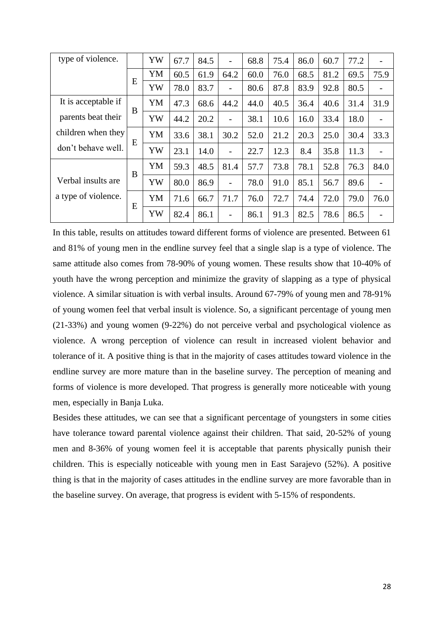| type of violence.   |   | YW | 67.7 | 84.5 | -    | 68.8 | 75.4 | 86.0 | 60.7 | 77.2 |      |
|---------------------|---|----|------|------|------|------|------|------|------|------|------|
|                     |   | YM | 60.5 | 61.9 | 64.2 | 60.0 | 76.0 | 68.5 | 81.2 | 69.5 | 75.9 |
|                     | E | YW | 78.0 | 83.7 | -    | 80.6 | 87.8 | 83.9 | 92.8 | 80.5 |      |
| It is acceptable if | B | YM | 47.3 | 68.6 | 44.2 | 44.0 | 40.5 | 36.4 | 40.6 | 31.4 | 31.9 |
| parents beat their  |   | YW | 44.2 | 20.2 | -    | 38.1 | 10.6 | 16.0 | 33.4 | 18.0 |      |
| children when they  | E | YM | 33.6 | 38.1 | 30.2 | 52.0 | 21.2 | 20.3 | 25.0 | 30.4 | 33.3 |
| don't behave well.  |   | YW | 23.1 | 14.0 | -    | 22.7 | 12.3 | 8.4  | 35.8 | 11.3 |      |
|                     | B | YM | 59.3 | 48.5 | 81.4 | 57.7 | 73.8 | 78.1 | 52.8 | 76.3 | 84.0 |
| Verbal insults are  |   | YW | 80.0 | 86.9 | -    | 78.0 | 91.0 | 85.1 | 56.7 | 89.6 |      |
| a type of violence. | E | YM | 71.6 | 66.7 | 71.7 | 76.0 | 72.7 | 74.4 | 72.0 | 79.0 | 76.0 |
|                     |   | YW | 82.4 | 86.1 | -    | 86.1 | 91.3 | 82.5 | 78.6 | 86.5 |      |

In this table, results on attitudes toward different forms of violence are presented. Between 61 and 81% of young men in the endline survey feel that a single slap is a type of violence. The same attitude also comes from 78-90% of young women. These results show that 10-40% of youth have the wrong perception and minimize the gravity of slapping as a type of physical violence. A similar situation is with verbal insults. Around 67-79% of young men and 78-91% of young women feel that verbal insult is violence. So, a significant percentage of young men (21-33%) and young women (9-22%) do not perceive verbal and psychological violence as violence. A wrong perception of violence can result in increased violent behavior and tolerance of it. A positive thing is that in the majority of cases attitudes toward violence in the endline survey are more mature than in the baseline survey. The perception of meaning and forms of violence is more developed. That progress is generally more noticeable with young men, especially in Banja Luka.

Besides these attitudes, we can see that a significant percentage of youngsters in some cities have tolerance toward parental violence against their children. That said, 20-52% of young men and 8-36% of young women feel it is acceptable that parents physically punish their children. This is especially noticeable with young men in East Sarajevo (52%). A positive thing is that in the majority of cases attitudes in the endline survey are more favorable than in the baseline survey. On average, that progress is evident with 5-15% of respondents.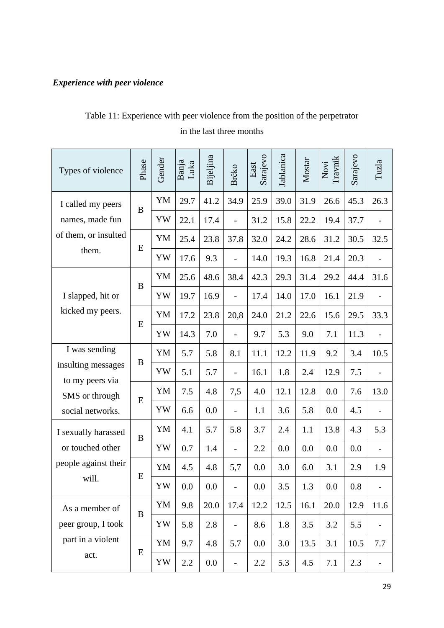# <span id="page-28-0"></span>*Experience with peer violence*

# Table 11: Experience with peer violence from the position of the perpetrator in the last three months

| Types of violence                     | Phase     | Gender | Banja<br>Luka | Bijeljina | Brčko                    | Sarajevo<br>East | Jablanica | Mostar | Travnik<br>Novi | Sarajevo | Tuzla                    |
|---------------------------------------|-----------|--------|---------------|-----------|--------------------------|------------------|-----------|--------|-----------------|----------|--------------------------|
| I called my peers                     | $\bf{B}$  | YM     | 29.7          | 41.2      | 34.9                     | 25.9             | 39.0      | 31.9   | 26.6            | 45.3     | 26.3                     |
| names, made fun                       |           | YW     | 22.1          | 17.4      | $\overline{a}$           | 31.2             | 15.8      | 22.2   | 19.4            | 37.7     |                          |
| of them, or insulted                  | E         | YM     | 25.4          | 23.8      | 37.8                     | 32.0             | 24.2      | 28.6   | 31.2            | 30.5     | 32.5                     |
| them.                                 |           | YW     | 17.6          | 9.3       | $\overline{a}$           | 14.0             | 19.3      | 16.8   | 21.4            | 20.3     |                          |
|                                       | B         | YM     | 25.6          | 48.6      | 38.4                     | 42.3             | 29.3      | 31.4   | 29.2            | 44.4     | 31.6                     |
| I slapped, hit or                     |           | YW     | 19.7          | 16.9      | $\overline{a}$           | 17.4             | 14.0      | 17.0   | 16.1            | 21.9     |                          |
| kicked my peers.                      | E         | YM     | 17.2          | 23.8      | 20,8                     | 24.0             | 21.2      | 22.6   | 15.6            | 29.5     | 33.3                     |
|                                       |           | YW     | 14.3          | 7.0       | $\overline{a}$           | 9.7              | 5.3       | 9.0    | 7.1             | 11.3     |                          |
| I was sending                         | B         | YM     | 5.7           | 5.8       | 8.1                      | 11.1             | 12.2      | 11.9   | 9.2             | 3.4      | 10.5                     |
| insulting messages<br>to my peers via |           | YW     | 5.1           | 5.7       | $\overline{\phantom{0}}$ | 16.1             | 1.8       | 2.4    | 12.9            | 7.5      |                          |
| SMS or through                        | E         | YM     | 7.5           | 4.8       | 7,5                      | 4.0              | 12.1      | 12.8   | 0.0             | 7.6      | 13.0                     |
| social networks.                      |           | YW     | 6.6           | 0.0       | $\overline{\phantom{0}}$ | 1.1              | 3.6       | 5.8    | 0.0             | 4.5      |                          |
| I sexually harassed                   | B         | YM     | 4.1           | 5.7       | 5.8                      | 3.7              | 2.4       | 1.1    | 13.8            | 4.3      | 5.3                      |
| or touched other                      |           | YW     | 0.7           | 1.4       | $\overline{\phantom{0}}$ | 2.2              | 0.0       | 0.0    | 0.0             | 0.0      | $\overline{\phantom{0}}$ |
| people against their                  |           | YM     | 4.5           | 4.8       | 5,7                      | 0.0              | 3.0       | 6.0    | 3.1             | 2.9      | 1.9                      |
| will.                                 | ${\bf E}$ | YW     | 0.0           | 0.0       | $\overline{a}$           | 0.0              | 3.5       | 1.3    | 0.0             | 0.8      |                          |
| As a member of                        |           | YM     | 9.8           | 20.0      | 17.4                     | 12.2             | 12.5      | 16.1   | 20.0            | 12.9     | 11.6                     |
| peer group, I took                    | $\bf{B}$  | YW     | 5.8           | 2.8       | $\overline{\phantom{0}}$ | 8.6              | 1.8       | 3.5    | 3.2             | 5.5      |                          |
| part in a violent                     |           | YM     | 9.7           | 4.8       | 5.7                      | 0.0              | 3.0       | 13.5   | 3.1             | 10.5     | 7.7                      |
| act.                                  | E         | YW     | 2.2           | 0.0       | $\qquad \qquad -$        | 2.2              | 5.3       | 4.5    | 7.1             | 2.3      | $\overline{\phantom{0}}$ |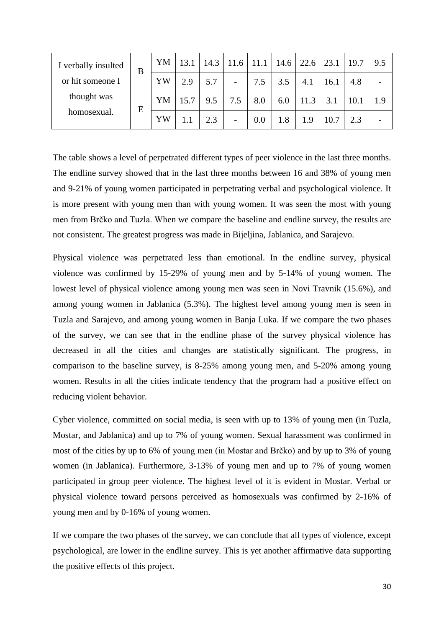| I verbally insulted | B | YM | 13.1 | 14.3 | 11.6                     |     | 14.6 | 22.6 | 23.1 | 19.7 | 9.5 |
|---------------------|---|----|------|------|--------------------------|-----|------|------|------|------|-----|
| or hit someone I    |   | YW | 2.9  | 5.7  | $\overline{\phantom{a}}$ | 7.5 | 3.5  | 4.1  | 16.1 | 4.8  |     |
| thought was         | E | YM | 15.7 | 9.5  | 7.5                      | 8.0 | 6.0  | 11.3 | 3.1  | 10.1 | 1.9 |
| homosexual.         |   | YW |      | 2.3  | -                        | 0.0 | 1.8  | 1.9  | 10.7 | 2.3  |     |

The table shows a level of perpetrated different types of peer violence in the last three months. The endline survey showed that in the last three months between 16 and 38% of young men and 9-21% of young women participated in perpetrating verbal and psychological violence. It is more present with young men than with young women. It was seen the most with young men from Brčko and Tuzla. When we compare the baseline and endline survey, the results are not consistent. The greatest progress was made in Bijeljina, Jablanica, and Sarajevo.

Physical violence was perpetrated less than emotional. In the endline survey, physical violence was confirmed by 15-29% of young men and by 5-14% of young women. The lowest level of physical violence among young men was seen in Novi Travnik (15.6%), and among young women in Jablanica (5.3%). The highest level among young men is seen in Tuzla and Sarajevo, and among young women in Banja Luka. If we compare the two phases of the survey, we can see that in the endline phase of the survey physical violence has decreased in all the cities and changes are statistically significant. The progress, in comparison to the baseline survey, is 8-25% among young men, and 5-20% among young women. Results in all the cities indicate tendency that the program had a positive effect on reducing violent behavior.

Cyber violence, committed on social media, is seen with up to 13% of young men (in Tuzla, Mostar, and Jablanica) and up to 7% of young women. Sexual harassment was confirmed in most of the cities by up to 6% of young men (in Mostar and Brčko) and by up to 3% of young women (in Jablanica). Furthermore, 3-13% of young men and up to 7% of young women participated in group peer violence. The highest level of it is evident in Mostar. Verbal or physical violence toward persons perceived as homosexuals was confirmed by 2-16% of young men and by 0-16% of young women.

If we compare the two phases of the survey, we can conclude that all types of violence, except psychological, are lower in the endline survey. This is yet another affirmative data supporting the positive effects of this project.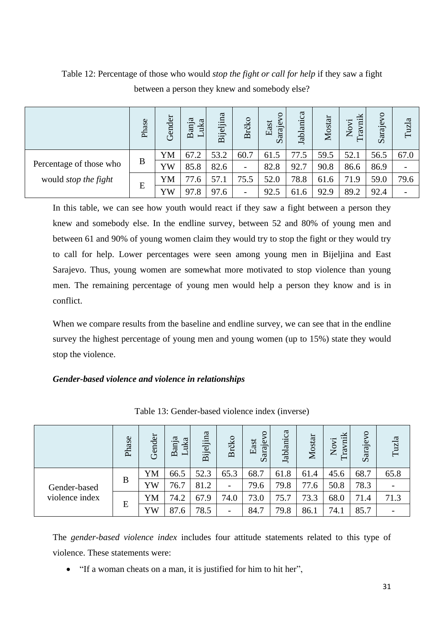|                             | Phase | Gender | Banja<br>uka<br>$\overline{\phantom{0}}$ | ijeljina<br>$\overline{\mathbf{a}}$ | Brčko                    | East<br>Saraje | Jablanica | Mostar | vnik<br>Novi<br>fa. | $\mathsf{S}^{\mathsf{O}}$<br>Sarajev | Tuzla |
|-----------------------------|-------|--------|------------------------------------------|-------------------------------------|--------------------------|----------------|-----------|--------|---------------------|--------------------------------------|-------|
|                             |       | YM     | 67.2                                     | 53.2                                | 60.7                     | 61.5           | 77.5      | 59.5   | 52.1                | 56.5                                 | 67.0  |
| Percentage of those who     | B     | YW     | 85.8                                     | 82.6                                | $\overline{\phantom{a}}$ | 82.8           | 92.7      | 90.8   | 86.6                | 86.9                                 |       |
| would <i>stop the fight</i> | E     | YM     | 77.6                                     | 57.1                                | 75.5                     | 52.0           | 78.8      | 61.6   | 71.9                | 59.0                                 | 79.6  |
|                             |       | YW     | 97.8                                     | 97.6                                | $\overline{\phantom{0}}$ | 92.5           | 61.6      | 92.9   | 89.2                | 92.4                                 |       |

Table 12: Percentage of those who would *stop the fight or call for help* if they saw a fight between a person they knew and somebody else?

In this table, we can see how youth would react if they saw a fight between a person they knew and somebody else. In the endline survey, between 52 and 80% of young men and between 61 and 90% of young women claim they would try to stop the fight or they would try to call for help. Lower percentages were seen among young men in Bijeljina and East Sarajevo. Thus, young women are somewhat more motivated to stop violence than young men. The remaining percentage of young men would help a person they know and is in conflict.

When we compare results from the baseline and endline survey, we can see that in the endline survey the highest percentage of young men and young women (up to 15%) state they would stop the violence.

# <span id="page-30-0"></span>*Gender-based violence and violence in relationships*

|                | Phase | Gender | Banja<br>uka<br>$\blacksquare$ | Bijeljina | Brčko                    | $\overline{\mathsf{v}}$<br>East<br>Sarajev | Jablanica | Mostar | nik<br>$\overline{\mathrm{S}}$<br>ra <sup>-</sup><br>Ž | Sarajevo | Tuzla |
|----------------|-------|--------|--------------------------------|-----------|--------------------------|--------------------------------------------|-----------|--------|--------------------------------------------------------|----------|-------|
|                |       | YM     | 66.5                           | 52.3      | 65.3                     | 68.7                                       | 61.8      | 61.4   | 45.6                                                   | 68.7     | 65.8  |
| Gender-based   | B     | YW     | 76.7                           | 81.2      | $\overline{\phantom{0}}$ | 79.6                                       | 79.8      | 77.6   | 50.8                                                   | 78.3     |       |
| violence index | E     | YM     | 74.2                           | 67.9      | 74.0                     | 73.0                                       | 75.7      | 73.3   | 68.0                                                   | 71.4     | 71.3  |
|                |       | YW     | 87.6                           | 78.5      | $\overline{\phantom{0}}$ | 84.7                                       | 79.8      | 86.1   | 74.1                                                   | 85.7     |       |

Table 13: Gender-based violence index (inverse)

The *gender-based violence index* includes four attitude statements related to this type of violence. These statements were:

• "If a woman cheats on a man, it is justified for him to hit her",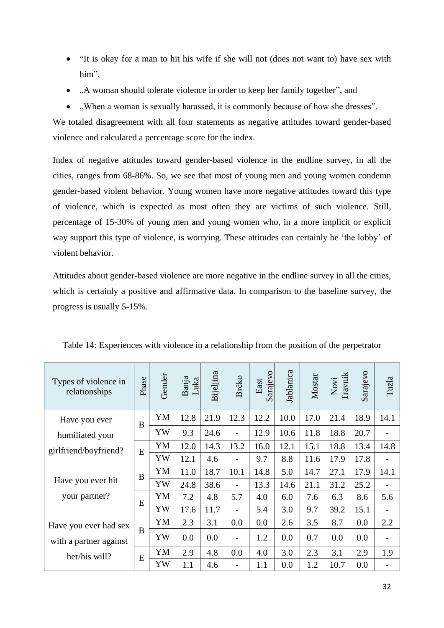- "It is okay for a man to hit his wife if she will not (does not want to) have sex with him",
- "A woman should tolerate violence in order to keep her family together", and
- "When a woman is sexually harassed, it is commonly because of how she dresses".

We totaled disagreement with all four statements as negative attitudes toward gender-based violence and calculated a percentage score for the index.

Index of negative attitudes toward gender-based violence in the endline survey, in all the cities, ranges from 68-86%. So, we see that most of young men and young women condemn gender-based violent behavior. Young women have more negative attitudes toward this type of violence, which is expected as most often they are victims of such violence. Still, percentage of 15-30% of young men and young women who, in a more implicit or explicit way support this type of violence, is worrying. These attitudes can certainly be 'the lobby' of violent behavior.

Attitudes about gender-based violence are more negative in the endline survey in all the cities, which is certainly a positive and affirmative data. In comparison to the baseline survey, the progress is usually 5-15%.

| Types of violence in<br>relationships | Phase | Gender | Banja<br>Luka | Bijeljina | Brčko                    | Sarajevo<br>East | Jablanica | Mostar | Travnik<br>Novi | Sarajevo | Tuzla             |
|---------------------------------------|-------|--------|---------------|-----------|--------------------------|------------------|-----------|--------|-----------------|----------|-------------------|
| Have you ever                         | B     | YM     | 12.8          | 21.9      | 12.3                     | 12.2             | 10.0      | 17.0   | 21.4            | 18.9     | 14.1              |
| humiliated your                       |       | YW     | 9.3           | 24.6      | $\overline{\phantom{0}}$ | 12.9             | 10.6      | 11.8   | 18.8            | 20.7     |                   |
| girlfriend/boyfriend?                 | E     | YM     | 12.0          | 14.3      | 13.2                     | 16.0             | 12.1      | 15.1   | 18.8            | 13.4     | 14.8              |
|                                       |       | YW     | 12.1          | 4.6       |                          | 9.7              | 8.8       | 11.6   | 17.9            | 17.8     | $\qquad \qquad -$ |
|                                       | B     | YM     | 11.0          | 18.7      | 10.1                     | 14.8             | 5.0       | 14.7   | 27.1            | 17.9     | 14.1              |
| Have you ever hit                     |       | YW     | 24.8          | 38.6      | $\overline{\phantom{a}}$ | 13.3             | 14.6      | 21.1   | 31.2            | 25.2     |                   |
| your partner?                         | E     | YM     | 7.2           | 4.8       | 5.7                      | 4.0              | 6.0       | 7.6    | 6.3             | 8.6      | 5.6               |
|                                       |       | YW     | 17.6          | 11.7      | $\overline{a}$           | 5.4              | 3.0       | 9.7    | 39.2            | 15.1     |                   |
| Have you ever had sex                 |       | YM     | 2.3           | 3.1       | 0.0                      | 0.0              | 2.6       | 3.5    | 8.7             | 0.0      | 2.2               |
| with a partner against                | B     | YW     | 0.0           | 0.0       | $\overline{a}$           | 1.2              | 0.0       | 0.7    | 0.0             | 0.0      |                   |
| her/his will?                         | E     | YM     | 2.9           | 4.8       | 0.0                      | 4.0              | 3.0       | 2.3    | 3.1             | 2.9      | 1.9               |
|                                       |       | YW     | 1.1           | 4.6       | $\overline{a}$           | 1.1              | 0.0       | 1.2    | 10.7            | 0.0      |                   |

Table 14: Experiences with violence in a relationship from the position of the perpetrator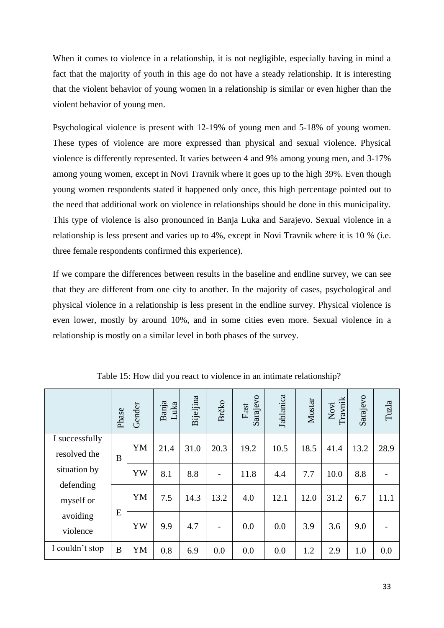When it comes to violence in a relationship, it is not negligible, especially having in mind a fact that the majority of youth in this age do not have a steady relationship. It is interesting that the violent behavior of young women in a relationship is similar or even higher than the violent behavior of young men.

Psychological violence is present with 12-19% of young men and 5-18% of young women. These types of violence are more expressed than physical and sexual violence. Physical violence is differently represented. It varies between 4 and 9% among young men, and 3-17% among young women, except in Novi Travnik where it goes up to the high 39%. Even though young women respondents stated it happened only once, this high percentage pointed out to the need that additional work on violence in relationships should be done in this municipality. This type of violence is also pronounced in Banja Luka and Sarajevo. Sexual violence in a relationship is less present and varies up to 4%, except in Novi Travnik where it is 10 % (i.e. three female respondents confirmed this experience).

If we compare the differences between results in the baseline and endline survey, we can see that they are different from one city to another. In the majority of cases, psychological and physical violence in a relationship is less present in the endline survey. Physical violence is even lower, mostly by around 10%, and in some cities even more. Sexual violence in a relationship is mostly on a similar level in both phases of the survey.

|                                | Phase | Gender | Banja<br>Luka | Bijeljina | Brčko                    | Sarajevo<br>East | Jablanica | Mostar | Travnik<br>Novi | Sarajevo | Tuzla |
|--------------------------------|-------|--------|---------------|-----------|--------------------------|------------------|-----------|--------|-----------------|----------|-------|
| I successfully<br>resolved the | B     | YM     | 21.4          | 31.0      | 20.3                     | 19.2             | 10.5      | 18.5   | 41.4            | 13.2     | 28.9  |
| situation by                   |       | YW     | 8.1           | 8.8       |                          | 11.8             | 4.4       | 7.7    | 10.0            | 8.8      |       |
| defending<br>myself or         |       | YM     | 7.5           | 14.3      | 13.2                     | 4.0              | 12.1      | 12.0   | 31.2            | 6.7      | 11.1  |
| avoiding<br>violence           | E     | YW     | 9.9           | 4.7       | $\overline{\phantom{a}}$ | 0.0              | 0.0       | 3.9    | 3.6             | 9.0      |       |
| I couldn't stop                | B     | YM     | 0.8           | 6.9       | 0.0                      | 0.0              | 0.0       | 1.2    | 2.9             | 1.0      | 0.0   |

Table 15: How did you react to violence in an intimate relationship?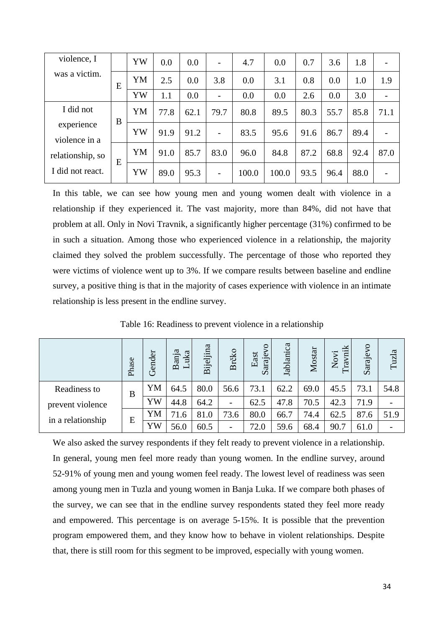| violence, I                 |   | YW | 0.0  | 0.0  | $\overline{\phantom{0}}$ | 4.7   | 0.0   | 0.7  | 3.6  | 1.8  |      |
|-----------------------------|---|----|------|------|--------------------------|-------|-------|------|------|------|------|
| was a victim.               | Ε | YM | 2.5  | 0.0  | 3.8                      | 0.0   | 3.1   | 0.8  | 0.0  | 1.0  | 1.9  |
|                             |   | YW | 1.1  | 0.0  |                          | 0.0   | 0.0   | 2.6  | 0.0  | 3.0  |      |
| I did not                   | B | YM | 77.8 | 62.1 | 79.7                     | 80.8  | 89.5  | 80.3 | 55.7 | 85.8 | 71.1 |
| experience<br>violence in a |   | YW | 91.9 | 91.2 |                          | 83.5  | 95.6  | 91.6 | 86.7 | 89.4 |      |
| relationship, so            | E | YM | 91.0 | 85.7 | 83.0                     | 96.0  | 84.8  | 87.2 | 68.8 | 92.4 | 87.0 |
| I did not react.            |   | YW | 89.0 | 95.3 | $\overline{\phantom{a}}$ | 100.0 | 100.0 | 93.5 | 96.4 | 88.0 |      |

In this table, we can see how young men and young women dealt with violence in a relationship if they experienced it. The vast majority, more than 84%, did not have that problem at all. Only in Novi Travnik, a significantly higher percentage (31%) confirmed to be in such a situation. Among those who experienced violence in a relationship, the majority claimed they solved the problem successfully. The percentage of those who reported they were victims of violence went up to 3%. If we compare results between baseline and endline survey, a positive thing is that in the majority of cases experience with violence in an intimate relationship is less present in the endline survey.

|                   | Phase | Gender | Banja<br>Luka | Bijeljina | Brčko | Sarajevo<br>East | Jablanica | Mostar | nik<br>Novi<br>E1 | $\overline{\mathsf{S}}$<br>Saraje | Tuzla |
|-------------------|-------|--------|---------------|-----------|-------|------------------|-----------|--------|-------------------|-----------------------------------|-------|
| Readiness to      | B     | YM     | 64.5          | 80.0      | 56.6  | 73.1             | 62.2      | 69.0   | 45.5              | 73.1                              | 54.8  |
| prevent violence  |       | YW     | 44.8          | 64.2      | -     | 62.5             | 47.8      | 70.5   | 42.3              | 71.9                              |       |
| in a relationship |       | YM     | 71.6          | 81.0      | 73.6  | 80.0             | 66.7      | 74.4   | 62.5              | 87.6                              | 51.9  |
|                   | E     | YW     | 56.0          | 60.5      | -     | 72.0             | 59.6      | 68.4   | 90.7              | 61.0                              |       |

Table 16: Readiness to prevent violence in a relationship

We also asked the survey respondents if they felt ready to prevent violence in a relationship. In general, young men feel more ready than young women. In the endline survey, around 52-91% of young men and young women feel ready. The lowest level of readiness was seen among young men in Tuzla and young women in Banja Luka. If we compare both phases of the survey, we can see that in the endline survey respondents stated they feel more ready and empowered. This percentage is on average 5-15%. It is possible that the prevention program empowered them, and they know how to behave in violent relationships. Despite that, there is still room for this segment to be improved, especially with young women.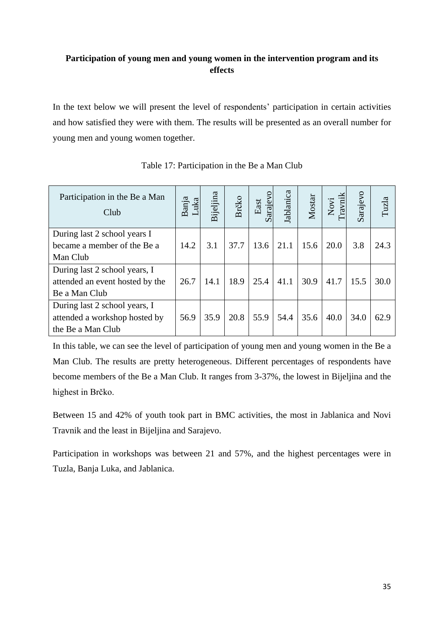# <span id="page-34-0"></span>**Participation of young men and young women in the intervention program and its effects**

In the text below we will present the level of respondents' participation in certain activities and how satisfied they were with them. The results will be presented as an overall number for young men and young women together.

| Participation in the Be a Man<br>Club | Banja<br>Luka | Bijeljina | Brčko | arajevo<br>East | Jablanica | Mostar | Novi<br>Iravnik | Sarajevo | Tuzla |
|---------------------------------------|---------------|-----------|-------|-----------------|-----------|--------|-----------------|----------|-------|
| During last 2 school years I          |               |           |       |                 |           |        |                 |          |       |
| became a member of the Be a           | 14.2          | 3.1       | 37.7  | 13.6            | 21.1      | 15.6   | 20.0            | 3.8      | 24.3  |
| Man Club                              |               |           |       |                 |           |        |                 |          |       |
| During last 2 school years, I         |               |           |       |                 |           |        |                 |          |       |
| attended an event hosted by the       | 26.7          | 14.1      | 18.9  | 25.4            | 41.1      | 30.9   | 41.7            | 15.5     | 30.0  |
| Be a Man Club                         |               |           |       |                 |           |        |                 |          |       |
| During last 2 school years, I         |               |           |       |                 |           |        |                 |          |       |
| attended a workshop hosted by         | 56.9          | 35.9      | 20.8  | 55.9            | 54.4      | 35.6   | 40.0            | 34.0     | 62.9  |
| the Be a Man Club                     |               |           |       |                 |           |        |                 |          |       |

Table 17: Participation in the Be a Man Club

In this table, we can see the level of participation of young men and young women in the Be a Man Club. The results are pretty heterogeneous. Different percentages of respondents have become members of the Be a Man Club. It ranges from 3-37%, the lowest in Bijeljina and the highest in Brčko.

Between 15 and 42% of youth took part in BMC activities, the most in Jablanica and Novi Travnik and the least in Bijeljina and Sarajevo.

Participation in workshops was between 21 and 57%, and the highest percentages were in Tuzla, Banja Luka, and Jablanica.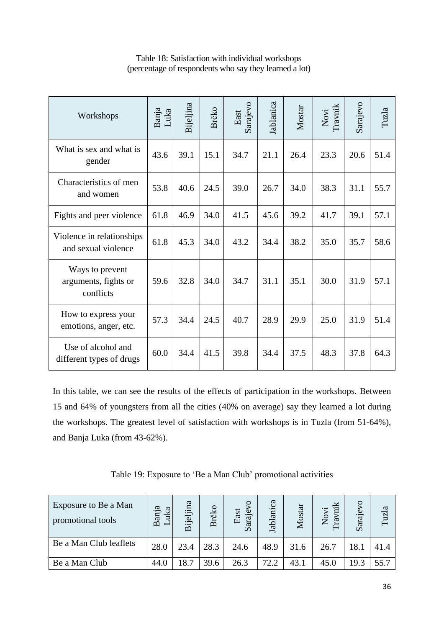| Workshops                                            | Banja<br>Luka | Bijeljina | Brčko | Sarajevo<br>East | Jablanica | Mostar | Novi<br>Travnik | Sarajevo | Tuzla |
|------------------------------------------------------|---------------|-----------|-------|------------------|-----------|--------|-----------------|----------|-------|
| What is sex and what is<br>gender                    | 43.6          | 39.1      | 15.1  | 34.7             | 21.1      | 26.4   | 23.3            | 20.6     | 51.4  |
| Characteristics of men<br>and women                  | 53.8          | 40.6      | 24.5  | 39.0             | 26.7      | 34.0   | 38.3            | 31.1     | 55.7  |
| Fights and peer violence                             | 61.8          | 46.9      | 34.0  | 41.5             | 45.6      | 39.2   | 41.7            | 39.1     | 57.1  |
| Violence in relationships<br>and sexual violence     | 61.8          | 45.3      | 34.0  | 43.2             | 34.4      | 38.2   | 35.0            | 35.7     | 58.6  |
| Ways to prevent<br>arguments, fights or<br>conflicts | 59.6          | 32.8      | 34.0  | 34.7             | 31.1      | 35.1   | 30.0            | 31.9     | 57.1  |
| How to express your<br>emotions, anger, etc.         | 57.3          | 34.4      | 24.5  | 40.7             | 28.9      | 29.9   | 25.0            | 31.9     | 51.4  |
| Use of alcohol and<br>different types of drugs       | 60.0          | 34.4      | 41.5  | 39.8             | 34.4      | 37.5   | 48.3            | 37.8     | 64.3  |

# Table 18: Satisfaction with individual workshops (percentage of respondents who say they learned a lot)

In this table, we can see the results of the effects of participation in the workshops. Between 15 and 64% of youngsters from all the cities (40% on average) say they learned a lot during the workshops. The greatest level of satisfaction with workshops is in Tuzla (from 51-64%), and Banja Luka (from 43-62%).

Table 19: Exposure to 'Be a Man Club' promotional activities

| Exposure to Be a Man<br>promotional tools | ದ<br>uka<br>Banj<br>$\overline{}$ | Bijeljina | Brčko | East<br>araje<br>$\mathcal{L}$ | Jablanica | Mostar | $\overline{E}$<br>Novi<br>ra | $\overline{Q}$<br>araje<br>$\mathcal{D}$ | <b>Fuzla</b> |
|-------------------------------------------|-----------------------------------|-----------|-------|--------------------------------|-----------|--------|------------------------------|------------------------------------------|--------------|
| Be a Man Club leaflets                    | 28.0                              | 23.4      | 28.3  | 24.6                           | 48.9      | 31.6   | 26.7                         | 18.1                                     | 41.4         |
| Be a Man Club                             | 44.0                              | 18.7      | 39.6  | 26.3                           | 72.2      | 43.1   | 45.0                         | 19.3                                     | 55.7         |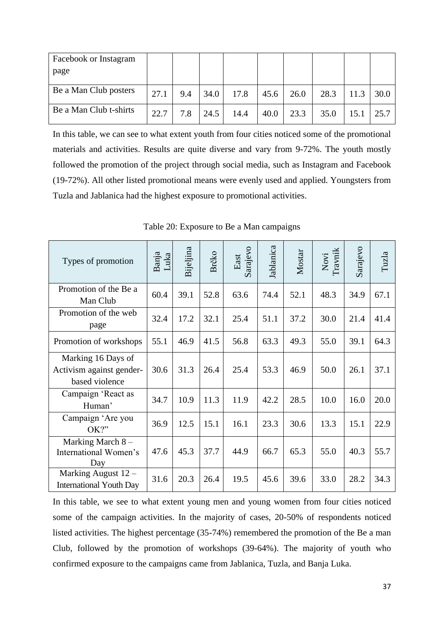| Facebook or Instagram  |      |     |      |      |      |      |      |      |      |
|------------------------|------|-----|------|------|------|------|------|------|------|
| page                   |      |     |      |      |      |      |      |      |      |
| Be a Man Club posters  | 27.1 | 9.4 | 34.0 | 17.8 | 45.6 | 26.0 | 28.3 | 11.3 | 30.0 |
| Be a Man Club t-shirts | 22.7 | 7.8 | 24.5 | 14.4 | 40.0 | 23.3 | 35.0 | 15.1 | 25.7 |

In this table, we can see to what extent youth from four cities noticed some of the promotional materials and activities. Results are quite diverse and vary from 9-72%. The youth mostly followed the promotion of the project through social media, such as Instagram and Facebook (19-72%). All other listed promotional means were evenly used and applied. Youngsters from Tuzla and Jablanica had the highest exposure to promotional activities.

| Types of promotion                                               | Banja<br>Luka | Bijeljina | Brčko | Sarajevo<br>East | Jablanica | Mostar | Novi<br>Travnik | Sarajevo | Tuzla |
|------------------------------------------------------------------|---------------|-----------|-------|------------------|-----------|--------|-----------------|----------|-------|
| Promotion of the Be a<br>Man Club                                | 60.4          | 39.1      | 52.8  | 63.6             | 74.4      | 52.1   | 48.3            | 34.9     | 67.1  |
| Promotion of the web<br>page                                     | 32.4          | 17.2      | 32.1  | 25.4             | 51.1      | 37.2   | 30.0            | 21.4     | 41.4  |
| Promotion of workshops                                           | 55.1          | 46.9      | 41.5  | 56.8             | 63.3      | 49.3   | 55.0            | 39.1     | 64.3  |
| Marking 16 Days of<br>Activism against gender-<br>based violence | 30.6          | 31.3      | 26.4  | 25.4             | 53.3      | 46.9   | 50.0            | 26.1     | 37.1  |
| Campaign 'React as<br>Human'                                     | 34.7          | 10.9      | 11.3  | 11.9             | 42.2      | 28.5   | 10.0            | 16.0     | 20.0  |
| Campaign 'Are you<br>OK?                                         | 36.9          | 12.5      | 15.1  | 16.1             | 23.3      | 30.6   | 13.3            | 15.1     | 22.9  |
| Marking March 8 -<br>International Women's<br>Day                | 47.6          | 45.3      | 37.7  | 44.9             | 66.7      | 65.3   | 55.0            | 40.3     | 55.7  |
| Marking August $12 -$<br><b>International Youth Day</b>          | 31.6          | 20.3      | 26.4  | 19.5             | 45.6      | 39.6   | 33.0            | 28.2     | 34.3  |

Table 20: Exposure to Be a Man campaigns

In this table, we see to what extent young men and young women from four cities noticed some of the campaign activities. In the majority of cases, 20-50% of respondents noticed listed activities. The highest percentage (35-74%) remembered the promotion of the Be a man Club, followed by the promotion of workshops (39-64%). The majority of youth who confirmed exposure to the campaigns came from Jablanica, Tuzla, and Banja Luka.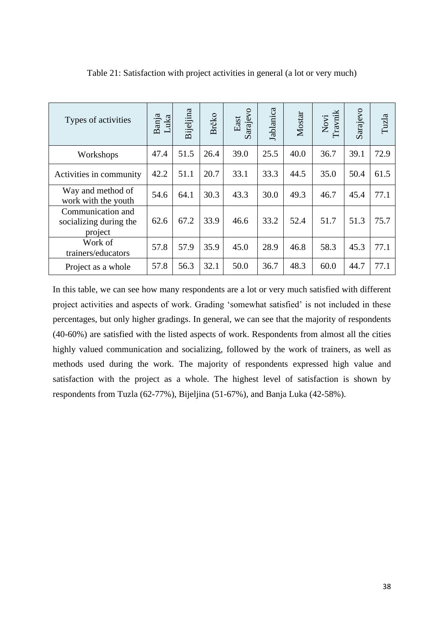| Types of activities                                    | Banja<br>Luka | Bijeljina | Brčko | Sarajevo<br>East | Jablanica | Mostar | Novi<br>Travnik | Sarajevo | Tuzla |
|--------------------------------------------------------|---------------|-----------|-------|------------------|-----------|--------|-----------------|----------|-------|
| Workshops                                              | 47.4          | 51.5      | 26.4  | 39.0             | 25.5      | 40.0   | 36.7            | 39.1     | 72.9  |
| Activities in community                                | 42.2          | 51.1      | 20.7  | 33.1             | 33.3      | 44.5   | 35.0            | 50.4     | 61.5  |
| Way and method of<br>work with the youth               | 54.6          | 64.1      | 30.3  | 43.3             | 30.0      | 49.3   | 46.7            | 45.4     | 77.1  |
| Communication and<br>socializing during the<br>project | 62.6          | 67.2      | 33.9  | 46.6             | 33.2      | 52.4   | 51.7            | 51.3     | 75.7  |
| Work of<br>trainers/educators                          | 57.8          | 57.9      | 35.9  | 45.0             | 28.9      | 46.8   | 58.3            | 45.3     | 77.1  |
| Project as a whole                                     | 57.8          | 56.3      | 32.1  | 50.0             | 36.7      | 48.3   | 60.0            | 44.7     | 77.1  |

Table 21: Satisfaction with project activities in general (a lot or very much)

In this table, we can see how many respondents are a lot or very much satisfied with different project activities and aspects of work. Grading 'somewhat satisfied' is not included in these percentages, but only higher gradings. In general, we can see that the majority of respondents (40-60%) are satisfied with the listed aspects of work. Respondents from almost all the cities highly valued communication and socializing, followed by the work of trainers, as well as methods used during the work. The majority of respondents expressed high value and satisfaction with the project as a whole. The highest level of satisfaction is shown by respondents from Tuzla (62-77%), Bijeljina (51-67%), and Banja Luka (42-58%).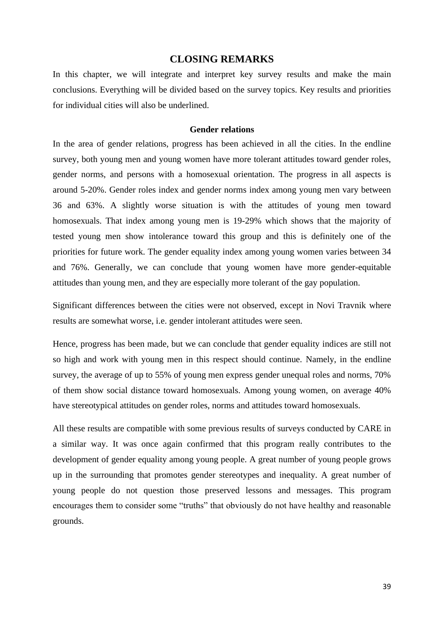# **CLOSING REMARKS**

<span id="page-38-0"></span>In this chapter, we will integrate and interpret key survey results and make the main conclusions. Everything will be divided based on the survey topics. Key results and priorities for individual cities will also be underlined.

### **Gender relations**

<span id="page-38-1"></span>In the area of gender relations, progress has been achieved in all the cities. In the endline survey, both young men and young women have more tolerant attitudes toward gender roles, gender norms, and persons with a homosexual orientation. The progress in all aspects is around 5-20%. Gender roles index and gender norms index among young men vary between 36 and 63%. A slightly worse situation is with the attitudes of young men toward homosexuals. That index among young men is 19-29% which shows that the majority of tested young men show intolerance toward this group and this is definitely one of the priorities for future work. The gender equality index among young women varies between 34 and 76%. Generally, we can conclude that young women have more gender-equitable attitudes than young men, and they are especially more tolerant of the gay population.

Significant differences between the cities were not observed, except in Novi Travnik where results are somewhat worse, i.e. gender intolerant attitudes were seen.

Hence, progress has been made, but we can conclude that gender equality indices are still not so high and work with young men in this respect should continue. Namely, in the endline survey, the average of up to 55% of young men express gender unequal roles and norms, 70% of them show social distance toward homosexuals. Among young women, on average 40% have stereotypical attitudes on gender roles, norms and attitudes toward homosexuals.

All these results are compatible with some previous results of surveys conducted by CARE in a similar way. It was once again confirmed that this program really contributes to the development of gender equality among young people. A great number of young people grows up in the surrounding that promotes gender stereotypes and inequality. A great number of young people do not question those preserved lessons and messages. This program encourages them to consider some "truths" that obviously do not have healthy and reasonable grounds.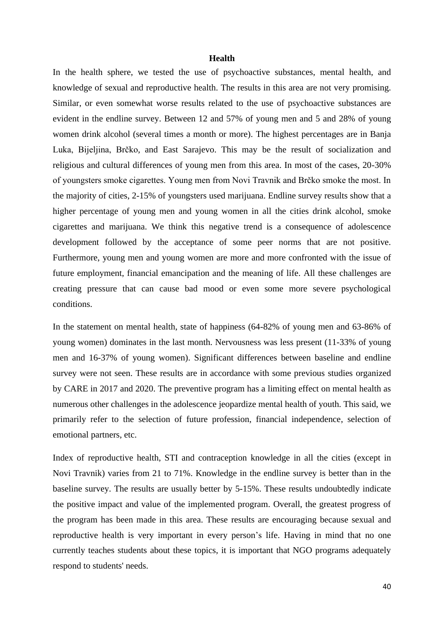#### **Health**

<span id="page-39-0"></span>In the health sphere, we tested the use of psychoactive substances, mental health, and knowledge of sexual and reproductive health. The results in this area are not very promising. Similar, or even somewhat worse results related to the use of psychoactive substances are evident in the endline survey. Between 12 and 57% of young men and 5 and 28% of young women drink alcohol (several times a month or more). The highest percentages are in Banja Luka, Bijeljina, Brčko, and East Sarajevo. This may be the result of socialization and religious and cultural differences of young men from this area. In most of the cases, 20-30% of youngsters smoke cigarettes. Young men from Novi Travnik and Brčko smoke the most. In the majority of cities, 2-15% of youngsters used marijuana. Endline survey results show that a higher percentage of young men and young women in all the cities drink alcohol, smoke cigarettes and marijuana. We think this negative trend is a consequence of adolescence development followed by the acceptance of some peer norms that are not positive. Furthermore, young men and young women are more and more confronted with the issue of future employment, financial emancipation and the meaning of life. All these challenges are creating pressure that can cause bad mood or even some more severe psychological conditions.

In the statement on mental health, state of happiness (64-82% of young men and 63-86% of young women) dominates in the last month. Nervousness was less present (11-33% of young men and 16-37% of young women). Significant differences between baseline and endline survey were not seen. These results are in accordance with some previous studies organized by CARE in 2017 and 2020. The preventive program has a limiting effect on mental health as numerous other challenges in the adolescence jeopardize mental health of youth. This said, we primarily refer to the selection of future profession, financial independence, selection of emotional partners, etc.

Index of reproductive health, STI and contraception knowledge in all the cities (except in Novi Travnik) varies from 21 to 71%. Knowledge in the endline survey is better than in the baseline survey. The results are usually better by 5-15%. These results undoubtedly indicate the positive impact and value of the implemented program. Overall, the greatest progress of the program has been made in this area. These results are encouraging because sexual and reproductive health is very important in every person's life. Having in mind that no one currently teaches students about these topics, it is important that NGO programs adequately respond to students' needs.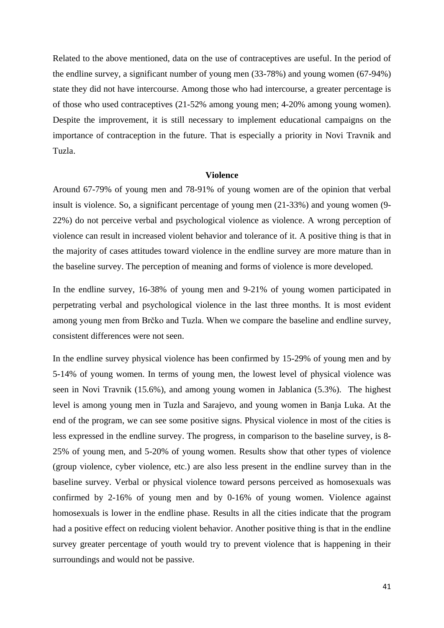Related to the above mentioned, data on the use of contraceptives are useful. In the period of the endline survey, a significant number of young men (33-78%) and young women (67-94%) state they did not have intercourse. Among those who had intercourse, a greater percentage is of those who used contraceptives (21-52% among young men; 4-20% among young women). Despite the improvement, it is still necessary to implement educational campaigns on the importance of contraception in the future. That is especially a priority in Novi Travnik and Tuzla.

### **Violence**

<span id="page-40-0"></span>Around 67-79% of young men and 78-91% of young women are of the opinion that verbal insult is violence. So, a significant percentage of young men (21-33%) and young women (9- 22%) do not perceive verbal and psychological violence as violence. A wrong perception of violence can result in increased violent behavior and tolerance of it. A positive thing is that in the majority of cases attitudes toward violence in the endline survey are more mature than in the baseline survey. The perception of meaning and forms of violence is more developed.

In the endline survey, 16-38% of young men and 9-21% of young women participated in perpetrating verbal and psychological violence in the last three months. It is most evident among young men from Brčko and Tuzla. When we compare the baseline and endline survey, consistent differences were not seen.

In the endline survey physical violence has been confirmed by 15-29% of young men and by 5-14% of young women. In terms of young men, the lowest level of physical violence was seen in Novi Travnik (15.6%), and among young women in Jablanica (5.3%). The highest level is among young men in Tuzla and Sarajevo, and young women in Banja Luka. At the end of the program, we can see some positive signs. Physical violence in most of the cities is less expressed in the endline survey. The progress, in comparison to the baseline survey, is 8- 25% of young men, and 5-20% of young women. Results show that other types of violence (group violence, cyber violence, etc.) are also less present in the endline survey than in the baseline survey. Verbal or physical violence toward persons perceived as homosexuals was confirmed by 2-16% of young men and by 0-16% of young women. Violence against homosexuals is lower in the endline phase. Results in all the cities indicate that the program had a positive effect on reducing violent behavior. Another positive thing is that in the endline survey greater percentage of youth would try to prevent violence that is happening in their surroundings and would not be passive.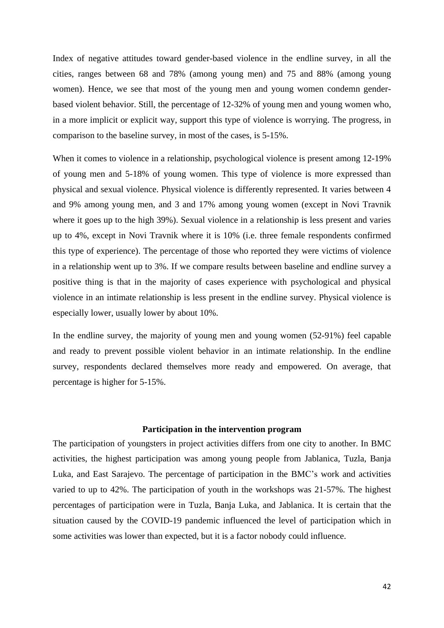Index of negative attitudes toward gender-based violence in the endline survey, in all the cities, ranges between 68 and 78% (among young men) and 75 and 88% (among young women). Hence, we see that most of the young men and young women condemn genderbased violent behavior. Still, the percentage of 12-32% of young men and young women who, in a more implicit or explicit way, support this type of violence is worrying. The progress, in comparison to the baseline survey, in most of the cases, is 5-15%.

When it comes to violence in a relationship, psychological violence is present among 12-19% of young men and 5-18% of young women. This type of violence is more expressed than physical and sexual violence. Physical violence is differently represented. It varies between 4 and 9% among young men, and 3 and 17% among young women (except in Novi Travnik where it goes up to the high 39%). Sexual violence in a relationship is less present and varies up to 4%, except in Novi Travnik where it is 10% (i.e. three female respondents confirmed this type of experience). The percentage of those who reported they were victims of violence in a relationship went up to 3%. If we compare results between baseline and endline survey a positive thing is that in the majority of cases experience with psychological and physical violence in an intimate relationship is less present in the endline survey. Physical violence is especially lower, usually lower by about 10%.

In the endline survey, the majority of young men and young women (52-91%) feel capable and ready to prevent possible violent behavior in an intimate relationship. In the endline survey, respondents declared themselves more ready and empowered. On average, that percentage is higher for 5-15%.

# **Participation in the intervention program**

<span id="page-41-0"></span>The participation of youngsters in project activities differs from one city to another. In BMC activities, the highest participation was among young people from Jablanica, Tuzla, Banja Luka, and East Sarajevo. The percentage of participation in the BMC's work and activities varied to up to 42%. The participation of youth in the workshops was 21-57%. The highest percentages of participation were in Tuzla, Banja Luka, and Jablanica. It is certain that the situation caused by the COVID-19 pandemic influenced the level of participation which in some activities was lower than expected, but it is a factor nobody could influence.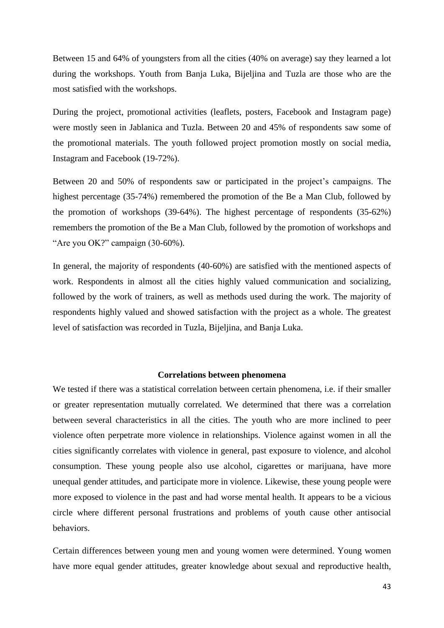Between 15 and 64% of youngsters from all the cities (40% on average) say they learned a lot during the workshops. Youth from Banja Luka, Bijeljina and Tuzla are those who are the most satisfied with the workshops.

During the project, promotional activities (leaflets, posters, Facebook and Instagram page) were mostly seen in Jablanica and Tuzla. Between 20 and 45% of respondents saw some of the promotional materials. The youth followed project promotion mostly on social media, Instagram and Facebook (19-72%).

Between 20 and 50% of respondents saw or participated in the project's campaigns. The highest percentage (35-74%) remembered the promotion of the Be a Man Club, followed by the promotion of workshops (39-64%). The highest percentage of respondents (35-62%) remembers the promotion of the Be a Man Club, followed by the promotion of workshops and "Are you OK?" campaign (30-60%).

In general, the majority of respondents (40-60%) are satisfied with the mentioned aspects of work. Respondents in almost all the cities highly valued communication and socializing, followed by the work of trainers, as well as methods used during the work. The majority of respondents highly valued and showed satisfaction with the project as a whole. The greatest level of satisfaction was recorded in Tuzla, Bijeljina, and Banja Luka.

#### **Correlations between phenomena**

<span id="page-42-0"></span>We tested if there was a statistical correlation between certain phenomena, i.e. if their smaller or greater representation mutually correlated. We determined that there was a correlation between several characteristics in all the cities. The youth who are more inclined to peer violence often perpetrate more violence in relationships. Violence against women in all the cities significantly correlates with violence in general, past exposure to violence, and alcohol consumption. These young people also use alcohol, cigarettes or marijuana, have more unequal gender attitudes, and participate more in violence. Likewise, these young people were more exposed to violence in the past and had worse mental health. It appears to be a vicious circle where different personal frustrations and problems of youth cause other antisocial behaviors.

Certain differences between young men and young women were determined. Young women have more equal gender attitudes, greater knowledge about sexual and reproductive health,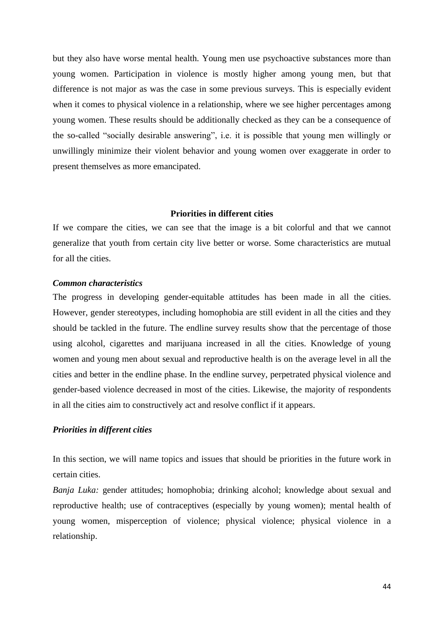but they also have worse mental health. Young men use psychoactive substances more than young women. Participation in violence is mostly higher among young men, but that difference is not major as was the case in some previous surveys. This is especially evident when it comes to physical violence in a relationship, where we see higher percentages among young women. These results should be additionally checked as they can be a consequence of the so-called "socially desirable answering", i.e. it is possible that young men willingly or unwillingly minimize their violent behavior and young women over exaggerate in order to present themselves as more emancipated.

### **Priorities in different cities**

<span id="page-43-0"></span>If we compare the cities, we can see that the image is a bit colorful and that we cannot generalize that youth from certain city live better or worse. Some characteristics are mutual for all the cities.

### <span id="page-43-1"></span>*Common characteristics*

The progress in developing gender-equitable attitudes has been made in all the cities. However, gender stereotypes, including homophobia are still evident in all the cities and they should be tackled in the future. The endline survey results show that the percentage of those using alcohol, cigarettes and marijuana increased in all the cities. Knowledge of young women and young men about sexual and reproductive health is on the average level in all the cities and better in the endline phase. In the endline survey, perpetrated physical violence and gender-based violence decreased in most of the cities. Likewise, the majority of respondents in all the cities aim to constructively act and resolve conflict if it appears.

### <span id="page-43-2"></span>*Priorities in different cities*

In this section, we will name topics and issues that should be priorities in the future work in certain cities.

*Banja Luka:* gender attitudes; homophobia; drinking alcohol; knowledge about sexual and reproductive health; use of contraceptives (especially by young women); mental health of young women, misperception of violence; physical violence; physical violence in a relationship.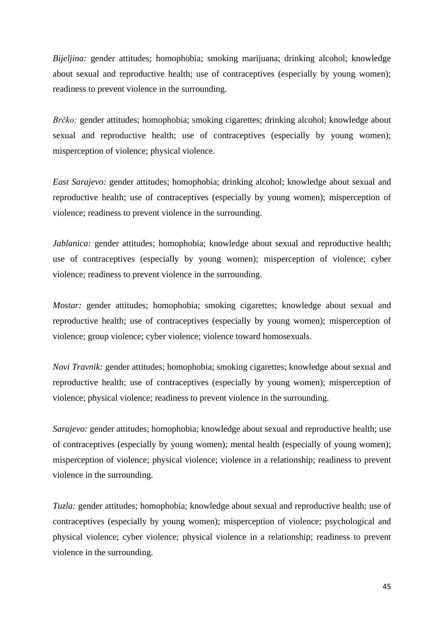*Bijeljina:* gender attitudes; homophobia; smoking marijuana; drinking alcohol; knowledge about sexual and reproductive health; use of contraceptives (especially by young women); readiness to prevent violence in the surrounding.

*Brčko:* gender attitudes; homophobia; smoking cigarettes; drinking alcohol; knowledge about sexual and reproductive health; use of contraceptives (especially by young women); misperception of violence; physical violence.

*East Sarajevo:* gender attitudes; homophobia; drinking alcohol; knowledge about sexual and reproductive health; use of contraceptives (especially by young women); misperception of violence; readiness to prevent violence in the surrounding.

*Jablanica:* gender attitudes; homophobia; knowledge about sexual and reproductive health; use of contraceptives (especially by young women); misperception of violence; cyber violence; readiness to prevent violence in the surrounding.

*Mostar:* gender attitudes; homophobia; smoking cigarettes; knowledge about sexual and reproductive health; use of contraceptives (especially by young women); misperception of violence; group violence; cyber violence; violence toward homosexuals.

*Novi Travnik:* gender attitudes; homophobia; smoking cigarettes; knowledge about sexual and reproductive health; use of contraceptives (especially by young women); misperception of violence; physical violence; readiness to prevent violence in the surrounding.

*Sarajevo:* gender attitudes; homophobia; knowledge about sexual and reproductive health; use of contraceptives (especially by young women); mental health (especially of young women); misperception of violence; physical violence; violence in a relationship; readiness to prevent violence in the surrounding.

*Tuzla:* gender attitudes; homophobia; knowledge about sexual and reproductive health; use of contraceptives (especially by young women); misperception of violence; psychological and physical violence; cyber violence; physical violence in a relationship; readiness to prevent violence in the surrounding.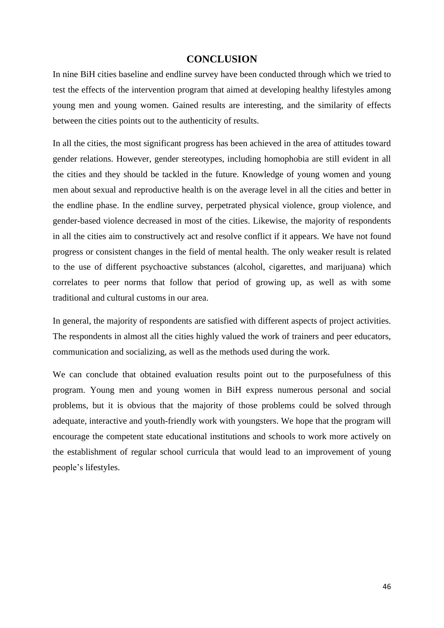# **CONCLUSION**

<span id="page-45-0"></span>In nine BiH cities baseline and endline survey have been conducted through which we tried to test the effects of the intervention program that aimed at developing healthy lifestyles among young men and young women. Gained results are interesting, and the similarity of effects between the cities points out to the authenticity of results.

In all the cities, the most significant progress has been achieved in the area of attitudes toward gender relations. However, gender stereotypes, including homophobia are still evident in all the cities and they should be tackled in the future. Knowledge of young women and young men about sexual and reproductive health is on the average level in all the cities and better in the endline phase. In the endline survey, perpetrated physical violence, group violence, and gender-based violence decreased in most of the cities. Likewise, the majority of respondents in all the cities aim to constructively act and resolve conflict if it appears. We have not found progress or consistent changes in the field of mental health. The only weaker result is related to the use of different psychoactive substances (alcohol, cigarettes, and marijuana) which correlates to peer norms that follow that period of growing up, as well as with some traditional and cultural customs in our area.

In general, the majority of respondents are satisfied with different aspects of project activities. The respondents in almost all the cities highly valued the work of trainers and peer educators, communication and socializing, as well as the methods used during the work.

We can conclude that obtained evaluation results point out to the purposefulness of this program. Young men and young women in BiH express numerous personal and social problems, but it is obvious that the majority of those problems could be solved through adequate, interactive and youth-friendly work with youngsters. We hope that the program will encourage the competent state educational institutions and schools to work more actively on the establishment of regular school curricula that would lead to an improvement of young people's lifestyles.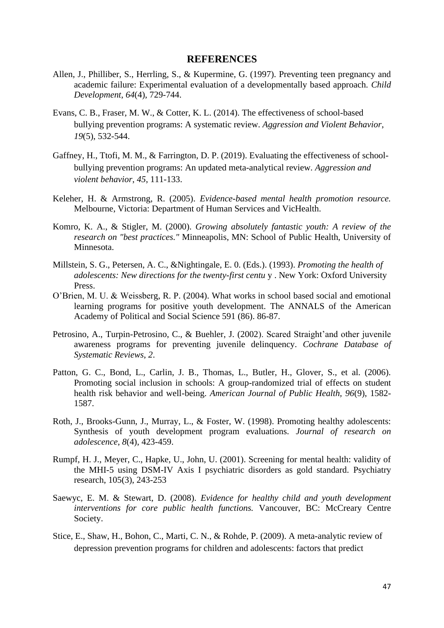### **REFERENCES**

- <span id="page-46-0"></span>Allen, J., Philliber, S., Herrling, S., & Kupermine, G. (1997). Preventing teen pregnancy and academic failure: Experimental evaluation of a developmentally based approach. *Child Development*, *64*(4), 729-744.
- Evans, C. B., Fraser, M. W., & Cotter, K. L. (2014). The effectiveness of school-based bullying prevention programs: A systematic review. *Aggression and Violent Behavior*, *19*(5), 532-544.
- Gaffney, H., Ttofi, M. M., & Farrington, D. P. (2019). Evaluating the effectiveness of schoolbullying prevention programs: An updated meta-analytical review. *Aggression and violent behavior*, *45*, 111-133.
- Keleher, H. & Armstrong, R. (2005). *Evidence-based mental health promotion resource.*  Melbourne, Victoria: Department of Human Services and VicHealth.
- Komro, K. A., & Stigler, M. (2000). *Growing absolutely fantastic youth: A review of the research on "best practices."* Minneapolis, MN: School of Public Health, University of Minnesota.
- Millstein, S. G., Petersen, A. C., &Nightingale, E. 0. (Eds.). (1993). *Promoting the health of adolescents: New directions for the twenty-first centu* y . New York: Oxford University Press.
- O'Brien, M. U. & Weissberg, R. P. (2004). What works in school based social and emotional learning programs for positive youth development. The ANNALS of the American Academy of Political and Social Science 591 (86). 86-87.
- Petrosino, A., Turpin-Petrosino, C., & Buehler, J. (2002). Scared Straight'and other juvenile awareness programs for preventing juvenile delinquency. *Cochrane Database of Systematic Reviews*, *2*.
- Patton, G. C., Bond, L., Carlin, J. B., Thomas, L., Butler, H., Glover, S., et al. (2006). Promoting social inclusion in schools: A group-randomized trial of effects on student health risk behavior and well-being. *American Journal of Public Health, 96*(9), 1582- 1587.
- Roth, J., Brooks-Gunn, J., Murray, L., & Foster, W. (1998). Promoting healthy adolescents: Synthesis of youth development program evaluations. *Journal of research on adolescence*, *8*(4), 423-459.
- Rumpf, H. J., Meyer, C., Hapke, U., John, U. (2001). Screening for mental health: validity of the MHI-5 using DSM-IV Axis I psychiatric disorders as gold standard. Psychiatry research, 105(3), 243-253
- Saewyc, E. M. & Stewart, D. (2008). *Evidence for healthy child and youth development interventions for core public health functions.* Vancouver, BC: McCreary Centre Society.
- Stice, E., Shaw, H., Bohon, C., Marti, C. N., & Rohde, P. (2009). A meta-analytic review of depression prevention programs for children and adolescents: factors that predict